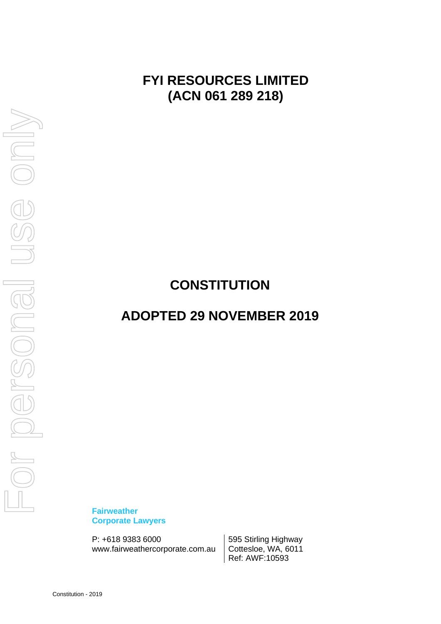**FYI RESOURCES LIMITED (ACN 061 289 218)**

# **CONSTITUTION**

# **ADOPTED 29 NOVEMBER 2019**

**Fairweather Corporate Lawyers**

P: +618 9383 6000 595 Stirling Highway www.fairweathercorporate.com.au | Cottesloe, WA, 6011

Ref: AWF:10593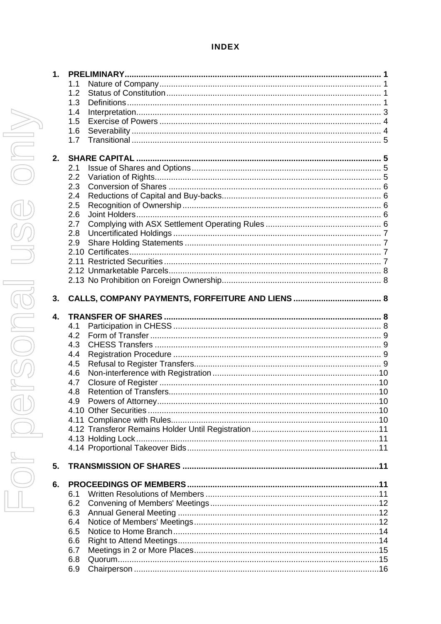# **INDEX**

6.9

| 1. |            |                    |  |  |
|----|------------|--------------------|--|--|
|    | 1.1        |                    |  |  |
|    | 1.2        |                    |  |  |
|    | 1.3        |                    |  |  |
|    | 1.4        |                    |  |  |
|    | 1.5        |                    |  |  |
|    | 1.6        |                    |  |  |
|    | 1.7        |                    |  |  |
| 2. |            |                    |  |  |
|    | 2.1        |                    |  |  |
|    | 2.2        |                    |  |  |
|    | 2.3        |                    |  |  |
|    | 2.4        |                    |  |  |
|    | 2.5        |                    |  |  |
|    | 2.6        |                    |  |  |
|    | 2.7        |                    |  |  |
|    | 2.8        |                    |  |  |
|    | 2.9        |                    |  |  |
|    |            |                    |  |  |
|    |            |                    |  |  |
|    |            |                    |  |  |
|    |            |                    |  |  |
|    |            |                    |  |  |
| 3. |            |                    |  |  |
| 4. |            |                    |  |  |
|    | 4.1        |                    |  |  |
|    | 4.2        |                    |  |  |
|    | 4.3        |                    |  |  |
|    | 4.4        |                    |  |  |
|    | 4.5        |                    |  |  |
|    | 4.6        |                    |  |  |
|    | 4.7        |                    |  |  |
|    | 4.8        |                    |  |  |
|    | 4.9        | Powers of Attorney |  |  |
|    |            |                    |  |  |
|    |            |                    |  |  |
|    |            |                    |  |  |
|    |            |                    |  |  |
|    |            |                    |  |  |
| 5. |            |                    |  |  |
| 6. |            |                    |  |  |
|    | 6.1        |                    |  |  |
|    | 6.2        |                    |  |  |
|    | 6.3        |                    |  |  |
|    | 6.4        |                    |  |  |
|    | 6.5        |                    |  |  |
|    | 6.6        |                    |  |  |
|    |            |                    |  |  |
|    |            |                    |  |  |
|    | 6.7<br>6.8 |                    |  |  |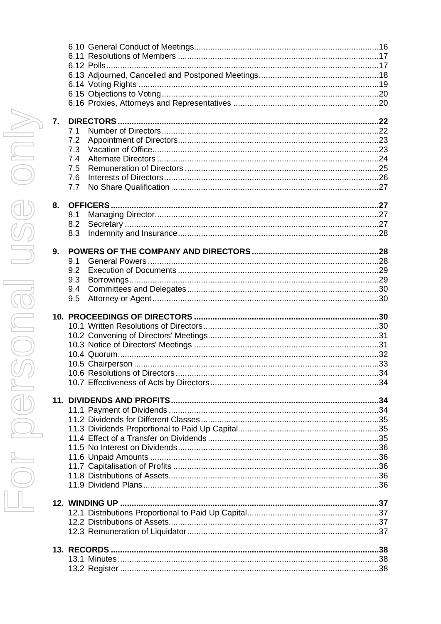| 7. |     |  |
|----|-----|--|
|    | 7.1 |  |
|    | 7.2 |  |
|    | 7.3 |  |
|    | 7.4 |  |
|    | 7.5 |  |
|    | 7.6 |  |
|    | 7.7 |  |
|    |     |  |
| 8. |     |  |
|    | 8.1 |  |
|    | 8.2 |  |
|    | 8.3 |  |
|    |     |  |
| 9. |     |  |
|    | 9.1 |  |
|    | 9.2 |  |
|    | 9.3 |  |
|    | 9.4 |  |
|    | 9.5 |  |
|    |     |  |
|    |     |  |
|    |     |  |
|    |     |  |
|    |     |  |
|    |     |  |
|    |     |  |
|    |     |  |
|    |     |  |
|    |     |  |
|    |     |  |
|    |     |  |
|    |     |  |
|    |     |  |
|    |     |  |
|    |     |  |
|    |     |  |
|    |     |  |
|    |     |  |
|    |     |  |
|    |     |  |
|    |     |  |
|    |     |  |
|    |     |  |
|    |     |  |
|    |     |  |
|    |     |  |
|    |     |  |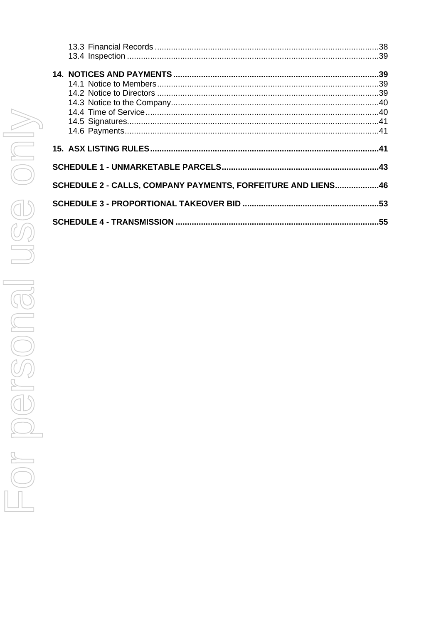| SCHEDULE 2 - CALLS, COMPANY PAYMENTS, FORFEITURE AND LIENS46 |     |
|--------------------------------------------------------------|-----|
|                                                              |     |
|                                                              | .53 |
|                                                              |     |
|                                                              |     |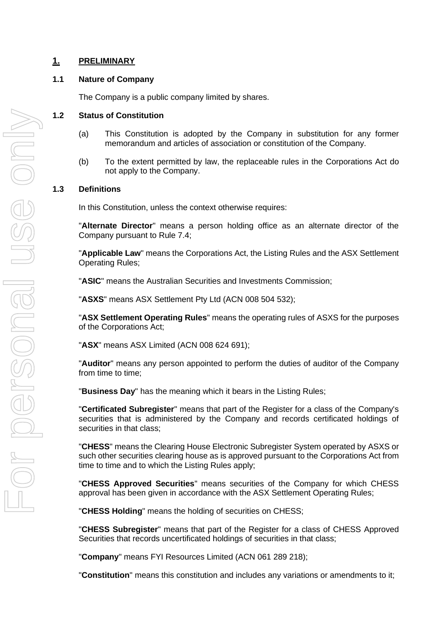# <span id="page-4-0"></span>**1. PRELIMINARY**

#### <span id="page-4-1"></span>**1.1 Nature of Company**

The Company is a public company limited by shares.

#### <span id="page-4-2"></span>**1.2 Status of Constitution**

- (a) This Constitution is adopted by the Company in substitution for any former memorandum and articles of association or constitution of the Company.
- (b) To the extent permitted by law, the replaceable rules in the Corporations Act do not apply to the Company.

#### <span id="page-4-3"></span>**1.3 Definitions**

In this Constitution, unless the context otherwise requires:

"**Alternate Director**" means a person holding office as an alternate director of the Company pursuant to Rule 7.4;

"**Applicable Law**" means the Corporations Act, the Listing Rules and the ASX Settlement Operating Rules;

"**ASIC**" means the Australian Securities and Investments Commission;

"**ASXS**" means ASX Settlement Pty Ltd (ACN 008 504 532);

"**ASX Settlement Operating Rules**" means the operating rules of ASXS for the purposes of the Corporations Act;

"**ASX**" means ASX Limited (ACN 008 624 691);

"**Auditor**" means any person appointed to perform the duties of auditor of the Company from time to time;

"**Business Day**" has the meaning which it bears in the Listing Rules;

"**Certificated Subregister**" means that part of the Register for a class of the Company's securities that is administered by the Company and records certificated holdings of securities in that class;

"**CHESS**" means the Clearing House Electronic Subregister System operated by ASXS or such other securities clearing house as is approved pursuant to the Corporations Act from time to time and to which the Listing Rules apply;

"**CHESS Approved Securities**" means securities of the Company for which CHESS approval has been given in accordance with the ASX Settlement Operating Rules;

"**CHESS Holding**" means the holding of securities on CHESS;

"**CHESS Subregister**" means that part of the Register for a class of CHESS Approved Securities that records uncertificated holdings of securities in that class;

"**Company**" means FYI Resources Limited (ACN 061 289 218);

"**Constitution**" means this constitution and includes any variations or amendments to it;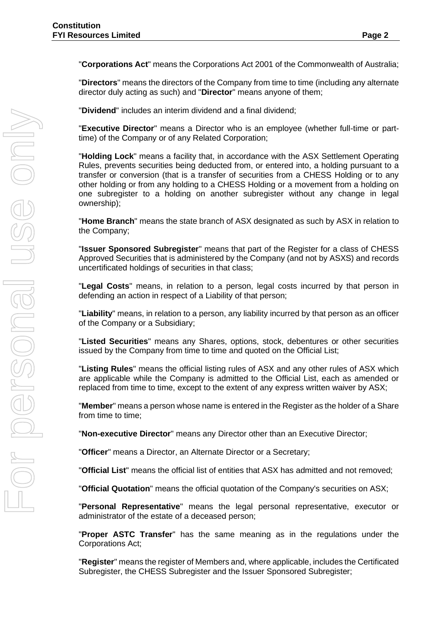"**Corporations Act**" means the Corporations Act 2001 of the Commonwealth of Australia;

"**Directors**" means the directors of the Company from time to time (including any alternate director duly acting as such) and "**Director**" means anyone of them;

"**Dividend**" includes an interim dividend and a final dividend;

"**Executive Director**" means a Director who is an employee (whether full-time or parttime) of the Company or of any Related Corporation;

"**Holding Lock**" means a facility that, in accordance with the ASX Settlement Operating Rules, prevents securities being deducted from, or entered into, a holding pursuant to a transfer or conversion (that is a transfer of securities from a CHESS Holding or to any other holding or from any holding to a CHESS Holding or a movement from a holding on one subregister to a holding on another subregister without any change in legal ownership);

"**Home Branch**" means the state branch of ASX designated as such by ASX in relation to the Company;

"**Issuer Sponsored Subregister**" means that part of the Register for a class of CHESS Approved Securities that is administered by the Company (and not by ASXS) and records uncertificated holdings of securities in that class;

"**Legal Costs**" means, in relation to a person, legal costs incurred by that person in defending an action in respect of a Liability of that person;

"**Liability**" means, in relation to a person, any liability incurred by that person as an officer of the Company or a Subsidiary;

"**Listed Securities**" means any Shares, options, stock, debentures or other securities issued by the Company from time to time and quoted on the Official List;

"**Listing Rules**" means the official listing rules of ASX and any other rules of ASX which are applicable while the Company is admitted to the Official List, each as amended or replaced from time to time, except to the extent of any express written waiver by ASX;

"**Member**" means a person whose name is entered in the Register as the holder of a Share from time to time;

"**Non-executive Director**" means any Director other than an Executive Director;

"**Officer**" means a Director, an Alternate Director or a Secretary;

"**Official List**" means the official list of entities that ASX has admitted and not removed;

"**Official Quotation**" means the official quotation of the Company's securities on ASX;

"**Personal Representative**" means the legal personal representative, executor or administrator of the estate of a deceased person;

"**Proper ASTC Transfer**" has the same meaning as in the regulations under the Corporations Act;

"**Register**" means the register of Members and, where applicable, includes the Certificated Subregister, the CHESS Subregister and the Issuer Sponsored Subregister;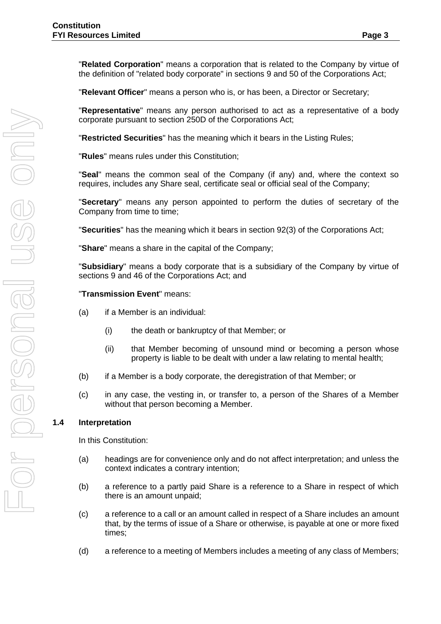"**Related Corporation**" means a corporation that is related to the Company by virtue of the definition of "related body corporate" in sections 9 and 50 of the Corporations Act;

"**Relevant Officer**" means a person who is, or has been, a Director or Secretary;

"**Representative**" means any person authorised to act as a representative of a body corporate pursuant to section 250D of the Corporations Act;

"**Restricted Securities**" has the meaning which it bears in the Listing Rules;

"**Rules**" means rules under this Constitution;

"**Seal**" means the common seal of the Company (if any) and, where the context so requires, includes any Share seal, certificate seal or official seal of the Company;

"**Secretary**" means any person appointed to perform the duties of secretary of the Company from time to time;

"**Securities**" has the meaning which it bears in section 92(3) of the Corporations Act;

"**Share**" means a share in the capital of the Company;

"**Subsidiary**" means a body corporate that is a subsidiary of the Company by virtue of sections 9 and 46 of the Corporations Act; and

"**Transmission Event**" means:

- (a) if a Member is an individual:
	- (i) the death or bankruptcy of that Member; or
	- (ii) that Member becoming of unsound mind or becoming a person whose property is liable to be dealt with under a law relating to mental health;
- (b) if a Member is a body corporate, the deregistration of that Member; or
- (c) in any case, the vesting in, or transfer to, a person of the Shares of a Member without that person becoming a Member.

#### <span id="page-6-0"></span>**1.4 Interpretation**

In this Constitution:

- (a) headings are for convenience only and do not affect interpretation; and unless the context indicates a contrary intention;
- (b) a reference to a partly paid Share is a reference to a Share in respect of which there is an amount unpaid;
- (c) a reference to a call or an amount called in respect of a Share includes an amount that, by the terms of issue of a Share or otherwise, is payable at one or more fixed times;
- (d) a reference to a meeting of Members includes a meeting of any class of Members;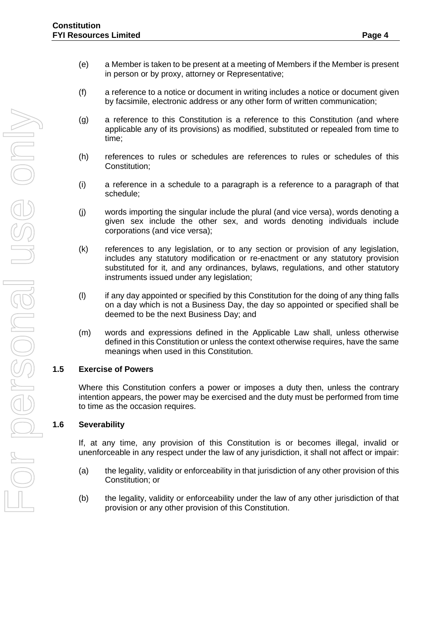- (e) a Member is taken to be present at a meeting of Members if the Member is present in person or by proxy, attorney or Representative;
- (f) a reference to a notice or document in writing includes a notice or document given by facsimile, electronic address or any other form of written communication;
- (g) a reference to this Constitution is a reference to this Constitution (and where applicable any of its provisions) as modified, substituted or repealed from time to time;
- (h) references to rules or schedules are references to rules or schedules of this Constitution;
- (i) a reference in a schedule to a paragraph is a reference to a paragraph of that schedule;
- (j) words importing the singular include the plural (and vice versa), words denoting a given sex include the other sex, and words denoting individuals include corporations (and vice versa);
- (k) references to any legislation, or to any section or provision of any legislation, includes any statutory modification or re-enactment or any statutory provision substituted for it, and any ordinances, bylaws, regulations, and other statutory instruments issued under any legislation;
- (l) if any day appointed or specified by this Constitution for the doing of any thing falls on a day which is not a Business Day, the day so appointed or specified shall be deemed to be the next Business Day; and
- (m) words and expressions defined in the Applicable Law shall, unless otherwise defined in this Constitution or unless the context otherwise requires, have the same meanings when used in this Constitution.

#### <span id="page-7-0"></span>**1.5 Exercise of Powers**

Where this Constitution confers a power or imposes a duty then, unless the contrary intention appears, the power may be exercised and the duty must be performed from time to time as the occasion requires.

#### <span id="page-7-1"></span>**1.6 Severability**

If, at any time, any provision of this Constitution is or becomes illegal, invalid or unenforceable in any respect under the law of any jurisdiction, it shall not affect or impair:

- (a) the legality, validity or enforceability in that jurisdiction of any other provision of this Constitution; or
- (b) the legality, validity or enforceability under the law of any other jurisdiction of that provision or any other provision of this Constitution.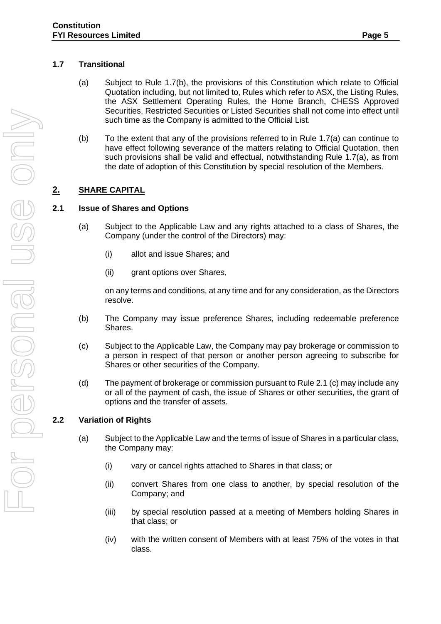- <span id="page-8-0"></span>(a) Subject to Rule 1.7(b), the provisions of this Constitution which relate to Official Quotation including, but not limited to, Rules which refer to ASX, the Listing Rules, the ASX Settlement Operating Rules, the Home Branch, CHESS Approved Securities, Restricted Securities or Listed Securities shall not come into effect until such time as the Company is admitted to the Official List.
- (b) To the extent that any of the provisions referred to in Rule 1.7(a) can continue to have effect following severance of the matters relating to Official Quotation, then such provisions shall be valid and effectual, notwithstanding Rule 1.7(a), as from the date of adoption of this Constitution by special resolution of the Members.

# <span id="page-8-1"></span>**2. SHARE CAPITAL**

# <span id="page-8-2"></span>**2.1 Issue of Shares and Options**

- (a) Subject to the Applicable Law and any rights attached to a class of Shares, the Company (under the control of the Directors) may:
	- (i) allot and issue Shares; and
	- (ii) grant options over Shares,

on any terms and conditions, at any time and for any consideration, as the Directors resolve.

- (b) The Company may issue preference Shares, including redeemable preference Shares.
- (c) Subject to the Applicable Law, the Company may pay brokerage or commission to a person in respect of that person or another person agreeing to subscribe for Shares or other securities of the Company.
- (d) The payment of brokerage or commission pursuant to Rule 2.1 (c) may include any or all of the payment of cash, the issue of Shares or other securities, the grant of options and the transfer of assets.

# <span id="page-8-3"></span>**2.2 Variation of Rights**

- (a) Subject to the Applicable Law and the terms of issue of Shares in a particular class, the Company may:
	- (i) vary or cancel rights attached to Shares in that class; or
	- (ii) convert Shares from one class to another, by special resolution of the Company; and
	- (iii) by special resolution passed at a meeting of Members holding Shares in that class; or
	- (iv) with the written consent of Members with at least 75% of the votes in that class.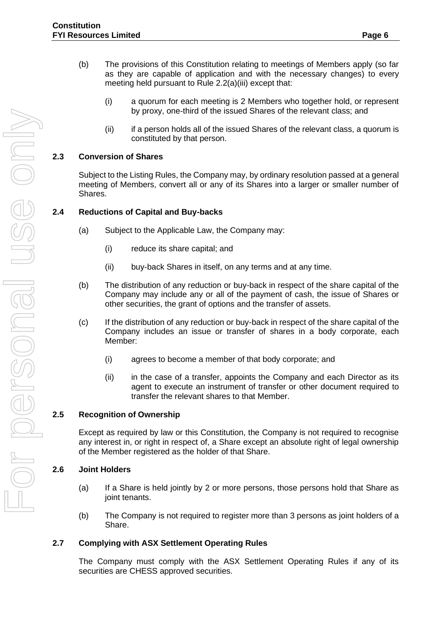- (b) The provisions of this Constitution relating to meetings of Members apply (so far as they are capable of application and with the necessary changes) to every meeting held pursuant to Rule 2.2(a)(iii) except that:
	- (i) a quorum for each meeting is 2 Members who together hold, or represent by proxy, one-third of the issued Shares of the relevant class; and
	- (ii) if a person holds all of the issued Shares of the relevant class, a quorum is constituted by that person.

## <span id="page-9-0"></span>**2.3 Conversion of Shares**

Subject to the Listing Rules, the Company may, by ordinary resolution passed at a general meeting of Members, convert all or any of its Shares into a larger or smaller number of Shares.

#### <span id="page-9-1"></span>**2.4 Reductions of Capital and Buy-backs**

- (a) Subject to the Applicable Law, the Company may:
	- (i) reduce its share capital; and
	- (ii) buy-back Shares in itself, on any terms and at any time.
- (b) The distribution of any reduction or buy-back in respect of the share capital of the Company may include any or all of the payment of cash, the issue of Shares or other securities, the grant of options and the transfer of assets.
- (c) If the distribution of any reduction or buy-back in respect of the share capital of the Company includes an issue or transfer of shares in a body corporate, each Member:
	- (i) agrees to become a member of that body corporate; and
	- (ii) in the case of a transfer, appoints the Company and each Director as its agent to execute an instrument of transfer or other document required to transfer the relevant shares to that Member.

#### <span id="page-9-2"></span>**2.5 Recognition of Ownership**

Except as required by law or this Constitution, the Company is not required to recognise any interest in, or right in respect of, a Share except an absolute right of legal ownership of the Member registered as the holder of that Share.

#### <span id="page-9-3"></span>**2.6 Joint Holders**

- (a) If a Share is held jointly by 2 or more persons, those persons hold that Share as joint tenants.
- (b) The Company is not required to register more than 3 persons as joint holders of a Share.

#### <span id="page-9-4"></span>**2.7 Complying with ASX Settlement Operating Rules**

The Company must comply with the ASX Settlement Operating Rules if any of its securities are CHESS approved securities.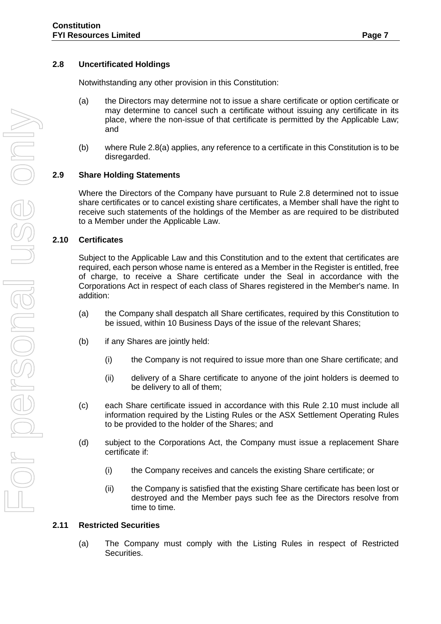# <span id="page-10-0"></span>**2.8 Uncertificated Holdings**

Notwithstanding any other provision in this Constitution:

- (a) the Directors may determine not to issue a share certificate or option certificate or may determine to cancel such a certificate without issuing any certificate in its place, where the non-issue of that certificate is permitted by the Applicable Law; and
- (b) where Rule 2.8(a) applies, any reference to a certificate in this Constitution is to be disregarded.

## <span id="page-10-1"></span>**2.9 Share Holding Statements**

Where the Directors of the Company have pursuant to Rule 2.8 determined not to issue share certificates or to cancel existing share certificates, a Member shall have the right to receive such statements of the holdings of the Member as are required to be distributed to a Member under the Applicable Law.

## <span id="page-10-2"></span>**2.10 Certificates**

Subject to the Applicable Law and this Constitution and to the extent that certificates are required, each person whose name is entered as a Member in the Register is entitled, free of charge, to receive a Share certificate under the Seal in accordance with the Corporations Act in respect of each class of Shares registered in the Member's name. In addition:

- (a) the Company shall despatch all Share certificates, required by this Constitution to be issued, within 10 Business Days of the issue of the relevant Shares;
- (b) if any Shares are jointly held:
	- (i) the Company is not required to issue more than one Share certificate; and
	- (ii) delivery of a Share certificate to anyone of the joint holders is deemed to be delivery to all of them;
- (c) each Share certificate issued in accordance with this Rule 2.10 must include all information required by the Listing Rules or the ASX Settlement Operating Rules to be provided to the holder of the Shares; and
- (d) subject to the Corporations Act, the Company must issue a replacement Share certificate if:
	- (i) the Company receives and cancels the existing Share certificate; or
	- (ii) the Company is satisfied that the existing Share certificate has been lost or destroyed and the Member pays such fee as the Directors resolve from time to time.

#### <span id="page-10-3"></span>**2.11 Restricted Securities**

(a) The Company must comply with the Listing Rules in respect of Restricted Securities.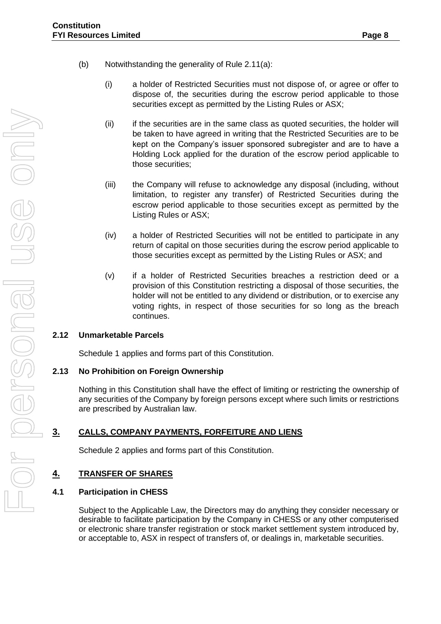- (b) Notwithstanding the generality of Rule 2.11(a):
	- (i) a holder of Restricted Securities must not dispose of, or agree or offer to dispose of, the securities during the escrow period applicable to those securities except as permitted by the Listing Rules or ASX;
	- (ii) if the securities are in the same class as quoted securities, the holder will be taken to have agreed in writing that the Restricted Securities are to be kept on the Company's issuer sponsored subregister and are to have a Holding Lock applied for the duration of the escrow period applicable to those securities;
	- (iii) the Company will refuse to acknowledge any disposal (including, without limitation, to register any transfer) of Restricted Securities during the escrow period applicable to those securities except as permitted by the Listing Rules or ASX;
	- (iv) a holder of Restricted Securities will not be entitled to participate in any return of capital on those securities during the escrow period applicable to those securities except as permitted by the Listing Rules or ASX; and
	- (v) if a holder of Restricted Securities breaches a restriction deed or a provision of this Constitution restricting a disposal of those securities, the holder will not be entitled to any dividend or distribution, or to exercise any voting rights, in respect of those securities for so long as the breach continues.

# <span id="page-11-0"></span>**2.12 Unmarketable Parcels**

Schedule 1 applies and forms part of this Constitution.

# <span id="page-11-1"></span>**2.13 No Prohibition on Foreign Ownership**

Nothing in this Constitution shall have the effect of limiting or restricting the ownership of any securities of the Company by foreign persons except where such limits or restrictions are prescribed by Australian law.

# <span id="page-11-2"></span>**3. CALLS, COMPANY PAYMENTS, FORFEITURE AND LIENS**

Schedule 2 applies and forms part of this Constitution.

# <span id="page-11-3"></span>**4. TRANSFER OF SHARES**

# <span id="page-11-4"></span>**4.1 Participation in CHESS**

Subject to the Applicable Law, the Directors may do anything they consider necessary or desirable to facilitate participation by the Company in CHESS or any other computerised or electronic share transfer registration or stock market settlement system introduced by, or acceptable to, ASX in respect of transfers of, or dealings in, marketable securities.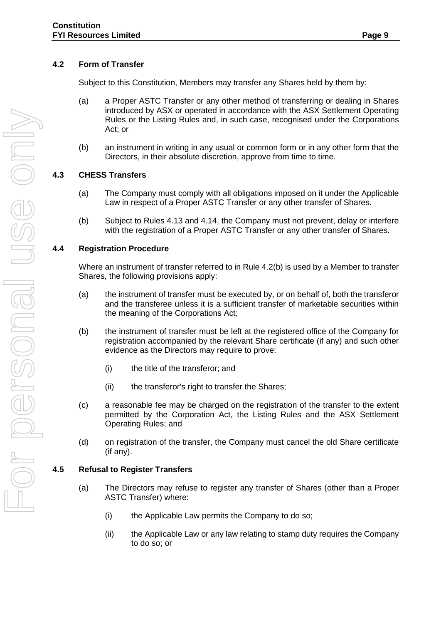# <span id="page-12-0"></span>**4.2 Form of Transfer**

Subject to this Constitution, Members may transfer any Shares held by them by:

- (a) a Proper ASTC Transfer or any other method of transferring or dealing in Shares introduced by ASX or operated in accordance with the ASX Settlement Operating Rules or the Listing Rules and, in such case, recognised under the Corporations Act; or
- (b) an instrument in writing in any usual or common form or in any other form that the Directors, in their absolute discretion, approve from time to time.

# <span id="page-12-1"></span>**4.3 CHESS Transfers**

- (a) The Company must comply with all obligations imposed on it under the Applicable Law in respect of a Proper ASTC Transfer or any other transfer of Shares.
- (b) Subject to Rules 4.13 and 4.14, the Company must not prevent, delay or interfere with the registration of a Proper ASTC Transfer or any other transfer of Shares.

#### <span id="page-12-2"></span>**4.4 Registration Procedure**

Where an instrument of transfer referred to in Rule 4.2(b) is used by a Member to transfer Shares, the following provisions apply:

- (a) the instrument of transfer must be executed by, or on behalf of, both the transferor and the transferee unless it is a sufficient transfer of marketable securities within the meaning of the Corporations Act;
- (b) the instrument of transfer must be left at the registered office of the Company for registration accompanied by the relevant Share certificate (if any) and such other evidence as the Directors may require to prove:
	- (i) the title of the transferor; and
	- (ii) the transferor's right to transfer the Shares;
- (c) a reasonable fee may be charged on the registration of the transfer to the extent permitted by the Corporation Act, the Listing Rules and the ASX Settlement Operating Rules; and
- (d) on registration of the transfer, the Company must cancel the old Share certificate (if any).

# <span id="page-12-3"></span>**4.5 Refusal to Register Transfers**

- (a) The Directors may refuse to register any transfer of Shares (other than a Proper ASTC Transfer) where:
	- (i) the Applicable Law permits the Company to do so;
	- (ii) the Applicable Law or any law relating to stamp duty requires the Company to do so; or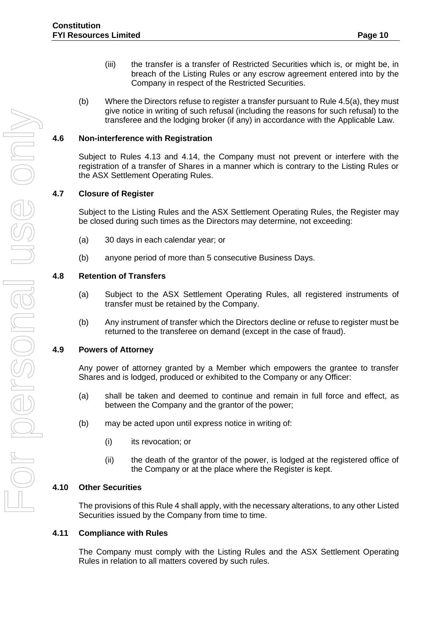- (iii) the transfer is a transfer of Restricted Securities which is, or might be, in breach of the Listing Rules or any escrow agreement entered into by the Company in respect of the Restricted Securities.
- (b) Where the Directors refuse to register a transfer pursuant to Rule 4.5(a), they must give notice in writing of such refusal (including the reasons for such refusal) to the transferee and the lodging broker (if any) in accordance with the Applicable Law.

#### <span id="page-13-0"></span>**4.6 Non-interference with Registration**

Subject to Rules 4.13 and 4.14, the Company must not prevent or interfere with the registration of a transfer of Shares in a manner which is contrary to the Listing Rules or the ASX Settlement Operating Rules.

#### <span id="page-13-1"></span>**4.7 Closure of Register**

Subject to the Listing Rules and the ASX Settlement Operating Rules, the Register may be closed during such times as the Directors may determine, not exceeding:

- (a) 30 days in each calendar year; or
- (b) anyone period of more than 5 consecutive Business Days.

#### <span id="page-13-2"></span>**4.8 Retention of Transfers**

- (a) Subject to the ASX Settlement Operating Rules, all registered instruments of transfer must be retained by the Company.
- (b) Any instrument of transfer which the Directors decline or refuse to register must be returned to the transferee on demand (except in the case of fraud).

#### <span id="page-13-3"></span>**4.9 Powers of Attorney**

Any power of attorney granted by a Member which empowers the grantee to transfer Shares and is lodged, produced or exhibited to the Company or any Officer:

- (a) shall be taken and deemed to continue and remain in full force and effect, as between the Company and the grantor of the power;
- (b) may be acted upon until express notice in writing of:
	- (i) its revocation; or
	- (ii) the death of the grantor of the power, is lodged at the registered office of the Company or at the place where the Register is kept.

#### <span id="page-13-4"></span>**4.10 Other Securities**

The provisions of this Rule 4 shall apply, with the necessary alterations, to any other Listed Securities issued by the Company from time to time.

#### <span id="page-13-5"></span>**4.11 Compliance with Rules**

The Company must comply with the Listing Rules and the ASX Settlement Operating Rules in relation to all matters covered by such rules.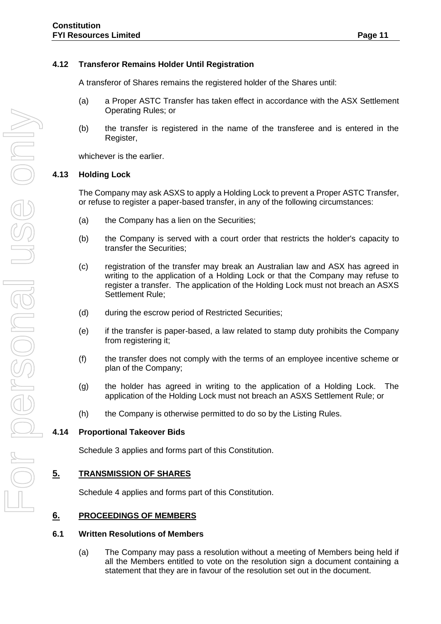## <span id="page-14-0"></span>**4.12 Transferor Remains Holder Until Registration**

A transferor of Shares remains the registered holder of the Shares until:

- (a) a Proper ASTC Transfer has taken effect in accordance with the ASX Settlement Operating Rules; or
- (b) the transfer is registered in the name of the transferee and is entered in the Register,

whichever is the earlier.

#### <span id="page-14-1"></span>**4.13 Holding Lock**

The Company may ask ASXS to apply a Holding Lock to prevent a Proper ASTC Transfer, or refuse to register a paper-based transfer, in any of the following circumstances:

- (a) the Company has a lien on the Securities;
- (b) the Company is served with a court order that restricts the holder's capacity to transfer the Securities;
- (c) registration of the transfer may break an Australian law and ASX has agreed in writing to the application of a Holding Lock or that the Company may refuse to register a transfer. The application of the Holding Lock must not breach an ASXS Settlement Rule;
- (d) during the escrow period of Restricted Securities;
- (e) if the transfer is paper-based, a law related to stamp duty prohibits the Company from registering it;
- (f) the transfer does not comply with the terms of an employee incentive scheme or plan of the Company;
- (g) the holder has agreed in writing to the application of a Holding Lock. The application of the Holding Lock must not breach an ASXS Settlement Rule; or
- (h) the Company is otherwise permitted to do so by the Listing Rules.

#### <span id="page-14-2"></span>**4.14 Proportional Takeover Bids**

Schedule 3 applies and forms part of this Constitution.

#### <span id="page-14-3"></span>**5. TRANSMISSION OF SHARES**

Schedule 4 applies and forms part of this Constitution.

#### <span id="page-14-5"></span><span id="page-14-4"></span>**6. PROCEEDINGS OF MEMBERS**

#### **6.1 Written Resolutions of Members**

(a) The Company may pass a resolution without a meeting of Members being held if all the Members entitled to vote on the resolution sign a document containing a statement that they are in favour of the resolution set out in the document.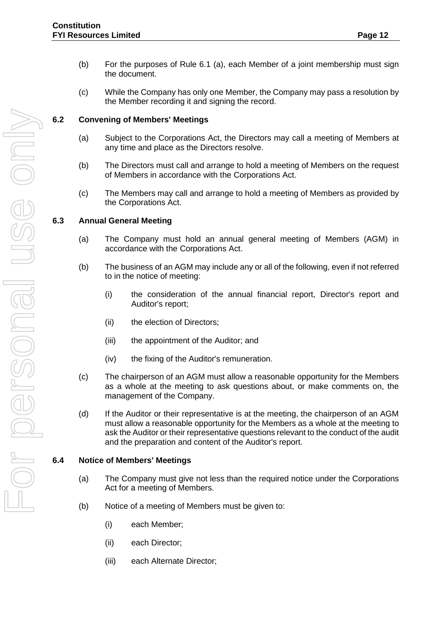(c) While the Company has only one Member, the Company may pass a resolution by the Member recording it and signing the record.

# <span id="page-15-0"></span>**6.2 Convening of Members' Meetings**

- (a) Subject to the Corporations Act, the Directors may call a meeting of Members at any time and place as the Directors resolve.
- (b) The Directors must call and arrange to hold a meeting of Members on the request of Members in accordance with the Corporations Act.
- (c) The Members may call and arrange to hold a meeting of Members as provided by the Corporations Act.

## <span id="page-15-1"></span>**6.3 Annual General Meeting**

- (a) The Company must hold an annual general meeting of Members (AGM) in accordance with the Corporations Act.
- (b) The business of an AGM may include any or all of the following, even if not referred to in the notice of meeting:
	- (i) the consideration of the annual financial report, Director's report and Auditor's report;
	- (ii) the election of Directors;
	- (iii) the appointment of the Auditor; and
	- (iv) the fixing of the Auditor's remuneration.
- (c) The chairperson of an AGM must allow a reasonable opportunity for the Members as a whole at the meeting to ask questions about, or make comments on, the management of the Company.
- (d) If the Auditor or their representative is at the meeting, the chairperson of an AGM must allow a reasonable opportunity for the Members as a whole at the meeting to ask the Auditor or their representative questions relevant to the conduct of the audit and the preparation and content of the Auditor's report.

#### <span id="page-15-2"></span>**6.4 Notice of Members' Meetings**

- (a) The Company must give not less than the required notice under the Corporations Act for a meeting of Members.
- (b) Notice of a meeting of Members must be given to:
	- (i) each Member;
	- (ii) each Director;
	- (iii) each Alternate Director;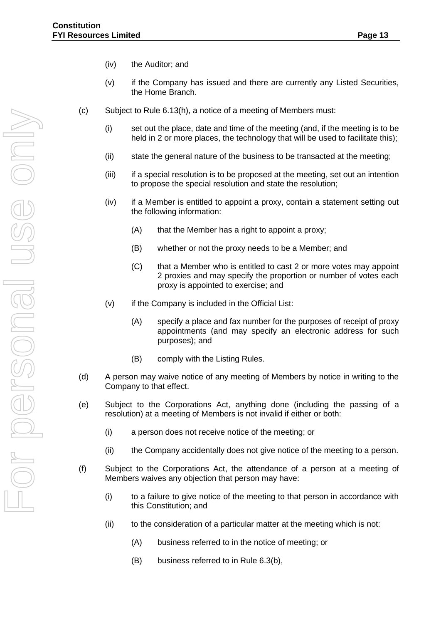- (iv) the Auditor; and
- (v) if the Company has issued and there are currently any Listed Securities, the Home Branch.
- (c) Subject to Rule 6.13(h), a notice of a meeting of Members must:
	- (i) set out the place, date and time of the meeting (and, if the meeting is to be held in 2 or more places, the technology that will be used to facilitate this);
	- (ii) state the general nature of the business to be transacted at the meeting;
	- (iii) if a special resolution is to be proposed at the meeting, set out an intention to propose the special resolution and state the resolution;
	- (iv) if a Member is entitled to appoint a proxy, contain a statement setting out the following information:
		- (A) that the Member has a right to appoint a proxy;
		- (B) whether or not the proxy needs to be a Member; and
		- (C) that a Member who is entitled to cast 2 or more votes may appoint 2 proxies and may specify the proportion or number of votes each proxy is appointed to exercise; and
	- (v) if the Company is included in the Official List:
		- (A) specify a place and fax number for the purposes of receipt of proxy appointments (and may specify an electronic address for such purposes); and
		- (B) comply with the Listing Rules.
- (d) A person may waive notice of any meeting of Members by notice in writing to the Company to that effect.
- (e) Subject to the Corporations Act, anything done (including the passing of a resolution) at a meeting of Members is not invalid if either or both:
	- (i) a person does not receive notice of the meeting; or
	- (ii) the Company accidentally does not give notice of the meeting to a person.
- (f) Subject to the Corporations Act, the attendance of a person at a meeting of Members waives any objection that person may have:
	- (i) to a failure to give notice of the meeting to that person in accordance with this Constitution; and
	- (ii) to the consideration of a particular matter at the meeting which is not:
		- (A) business referred to in the notice of meeting; or
		- (B) business referred to in Rule 6.3(b),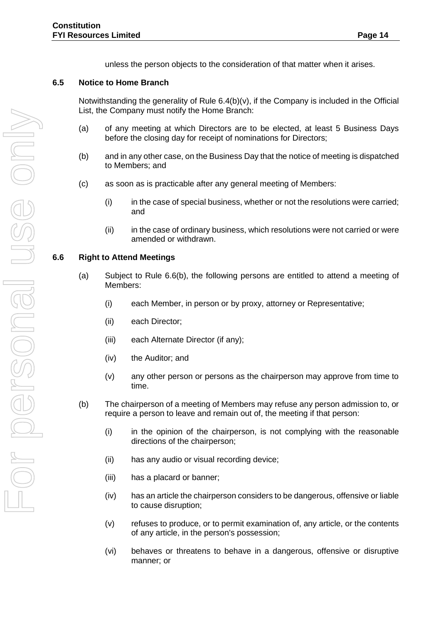unless the person objects to the consideration of that matter when it arises.

#### <span id="page-17-0"></span>**6.5 Notice to Home Branch**

Notwithstanding the generality of Rule 6.4(b)(v), if the Company is included in the Official List, the Company must notify the Home Branch:

- (a) of any meeting at which Directors are to be elected, at least 5 Business Days before the closing day for receipt of nominations for Directors;
- (b) and in any other case, on the Business Day that the notice of meeting is dispatched to Members; and
- (c) as soon as is practicable after any general meeting of Members:
	- (i) in the case of special business, whether or not the resolutions were carried; and
	- (ii) in the case of ordinary business, which resolutions were not carried or were amended or withdrawn.

#### <span id="page-17-1"></span>**6.6 Right to Attend Meetings**

- (a) Subject to Rule 6.6(b), the following persons are entitled to attend a meeting of Members:
	- (i) each Member, in person or by proxy, attorney or Representative;
	- (ii) each Director;
	- (iii) each Alternate Director (if any);
	- (iv) the Auditor; and
	- (v) any other person or persons as the chairperson may approve from time to time.
- (b) The chairperson of a meeting of Members may refuse any person admission to, or require a person to leave and remain out of, the meeting if that person:
	- (i) in the opinion of the chairperson, is not complying with the reasonable directions of the chairperson;
	- (ii) has any audio or visual recording device;
	- (iii) has a placard or banner;
	- (iv) has an article the chairperson considers to be dangerous, offensive or liable to cause disruption;
	- (v) refuses to produce, or to permit examination of, any article, or the contents of any article, in the person's possession;
	- (vi) behaves or threatens to behave in a dangerous, offensive or disruptive manner; or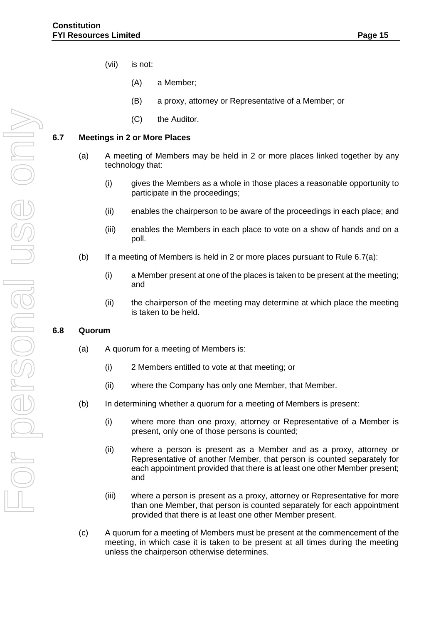- (vii) is not:
	- (A) a Member;
	- (B) a proxy, attorney or Representative of a Member; or
	- (C) the Auditor.

## <span id="page-18-0"></span>**6.7 Meetings in 2 or More Places**

- (a) A meeting of Members may be held in 2 or more places linked together by any technology that:
	- (i) gives the Members as a whole in those places a reasonable opportunity to participate in the proceedings;
	- (ii) enables the chairperson to be aware of the proceedings in each place; and
	- (iii) enables the Members in each place to vote on a show of hands and on a poll.
- (b) If a meeting of Members is held in 2 or more places pursuant to Rule  $6.7(a)$ :
	- (i) a Member present at one of the places is taken to be present at the meeting; and
	- (ii) the chairperson of the meeting may determine at which place the meeting is taken to be held.

#### <span id="page-18-1"></span>**6.8 Quorum**

- (a) A quorum for a meeting of Members is:
	- (i) 2 Members entitled to vote at that meeting; or
	- (ii) where the Company has only one Member, that Member.
- (b) In determining whether a quorum for a meeting of Members is present:
	- (i) where more than one proxy, attorney or Representative of a Member is present, only one of those persons is counted;
	- (ii) where a person is present as a Member and as a proxy, attorney or Representative of another Member, that person is counted separately for each appointment provided that there is at least one other Member present; and
	- (iii) where a person is present as a proxy, attorney or Representative for more than one Member, that person is counted separately for each appointment provided that there is at least one other Member present.
- (c) A quorum for a meeting of Members must be present at the commencement of the meeting, in which case it is taken to be present at all times during the meeting unless the chairperson otherwise determines.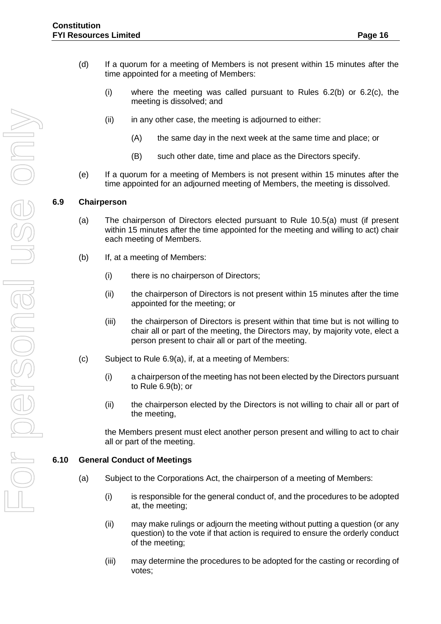- (d) If a quorum for a meeting of Members is not present within 15 minutes after the time appointed for a meeting of Members:
	- (i) where the meeting was called pursuant to Rules  $6.2(b)$  or  $6.2(c)$ , the meeting is dissolved; and
	- $(ii)$  in any other case, the meeting is adjourned to either:
		- (A) the same day in the next week at the same time and place; or
		- (B) such other date, time and place as the Directors specify.
- (e) If a quorum for a meeting of Members is not present within 15 minutes after the time appointed for an adjourned meeting of Members, the meeting is dissolved.

#### <span id="page-19-0"></span>**6.9 Chairperson**

- (a) The chairperson of Directors elected pursuant to Rule 10.5(a) must (if present within 15 minutes after the time appointed for the meeting and willing to act) chair each meeting of Members.
- (b) If, at a meeting of Members:
	- (i) there is no chairperson of Directors;
	- (ii) the chairperson of Directors is not present within 15 minutes after the time appointed for the meeting; or
	- (iii) the chairperson of Directors is present within that time but is not willing to chair all or part of the meeting, the Directors may, by majority vote, elect a person present to chair all or part of the meeting.
- (c) Subject to Rule 6.9(a), if, at a meeting of Members:
	- (i) a chairperson of the meeting has not been elected by the Directors pursuant to Rule 6.9(b); or
	- (ii) the chairperson elected by the Directors is not willing to chair all or part of the meeting,

the Members present must elect another person present and willing to act to chair all or part of the meeting.

#### <span id="page-19-1"></span>**6.10 General Conduct of Meetings**

- (a) Subject to the Corporations Act, the chairperson of a meeting of Members:
	- (i) is responsible for the general conduct of, and the procedures to be adopted at, the meeting;
	- (ii) may make rulings or adjourn the meeting without putting a question (or any question) to the vote if that action is required to ensure the orderly conduct of the meeting;
	- (iii) may determine the procedures to be adopted for the casting or recording of votes;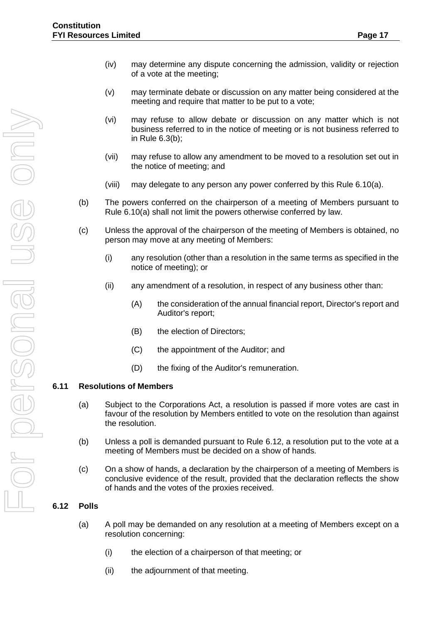- (iv) may determine any dispute concerning the admission, validity or rejection of a vote at the meeting;
- (v) may terminate debate or discussion on any matter being considered at the meeting and require that matter to be put to a vote;
- (vi) may refuse to allow debate or discussion on any matter which is not business referred to in the notice of meeting or is not business referred to in Rule 6.3(b);
- (vii) may refuse to allow any amendment to be moved to a resolution set out in the notice of meeting; and
- (viii) may delegate to any person any power conferred by this Rule 6.10(a).
- (b) The powers conferred on the chairperson of a meeting of Members pursuant to Rule 6.10(a) shall not limit the powers otherwise conferred by law.
- (c) Unless the approval of the chairperson of the meeting of Members is obtained, no person may move at any meeting of Members:
	- (i) any resolution (other than a resolution in the same terms as specified in the notice of meeting); or
	- (ii) any amendment of a resolution, in respect of any business other than:
		- (A) the consideration of the annual financial report, Director's report and Auditor's report;
		- (B) the election of Directors;
		- (C) the appointment of the Auditor; and
		- (D) the fixing of the Auditor's remuneration.

# <span id="page-20-0"></span>**6.11 Resolutions of Members**

- (a) Subject to the Corporations Act, a resolution is passed if more votes are cast in favour of the resolution by Members entitled to vote on the resolution than against the resolution.
- (b) Unless a poll is demanded pursuant to Rule 6.12, a resolution put to the vote at a meeting of Members must be decided on a show of hands.
- (c) On a show of hands, a declaration by the chairperson of a meeting of Members is conclusive evidence of the result, provided that the declaration reflects the show of hands and the votes of the proxies received.

# <span id="page-20-1"></span>**6.12 Polls**

- (a) A poll may be demanded on any resolution at a meeting of Members except on a resolution concerning:
	- (i) the election of a chairperson of that meeting; or
	- (ii) the adjournment of that meeting.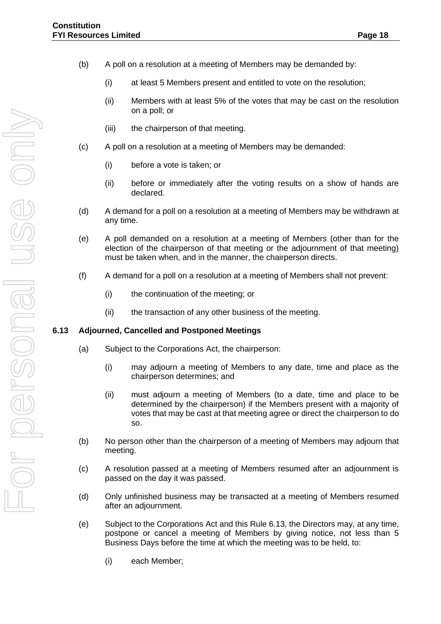- (b) A poll on a resolution at a meeting of Members may be demanded by:
	- (i) at least 5 Members present and entitled to vote on the resolution;
	- (ii) Members with at least 5% of the votes that may be cast on the resolution on a poll; or
	- (iii) the chairperson of that meeting.
- (c) A poll on a resolution at a meeting of Members may be demanded:
	- (i) before a vote is taken; or
	- (ii) before or immediately after the voting results on a show of hands are declared.
- (d) A demand for a poll on a resolution at a meeting of Members may be withdrawn at any time.
- (e) A poll demanded on a resolution at a meeting of Members (other than for the election of the chairperson of that meeting or the adjournment of that meeting) must be taken when, and in the manner, the chairperson directs.
- (f) A demand for a poll on a resolution at a meeting of Members shall not prevent:
	- (i) the continuation of the meeting; or
	- (ii) the transaction of any other business of the meeting.

#### <span id="page-21-0"></span>**6.13 Adjourned, Cancelled and Postponed Meetings**

- (a) Subject to the Corporations Act, the chairperson:
	- (i) may adjourn a meeting of Members to any date, time and place as the chairperson determines; and
	- (ii) must adjourn a meeting of Members (to a date, time and place to be determined by the chairperson) if the Members present with a majority of votes that may be cast at that meeting agree or direct the chairperson to do so.
- (b) No person other than the chairperson of a meeting of Members may adjourn that meeting.
- (c) A resolution passed at a meeting of Members resumed after an adjournment is passed on the day it was passed.
- (d) Only unfinished business may be transacted at a meeting of Members resumed after an adjournment.
- (e) Subject to the Corporations Act and this Rule 6.13, the Directors may, at any time, postpone or cancel a meeting of Members by giving notice, not less than 5 Business Days before the time at which the meeting was to be held, to:
	- (i) each Member;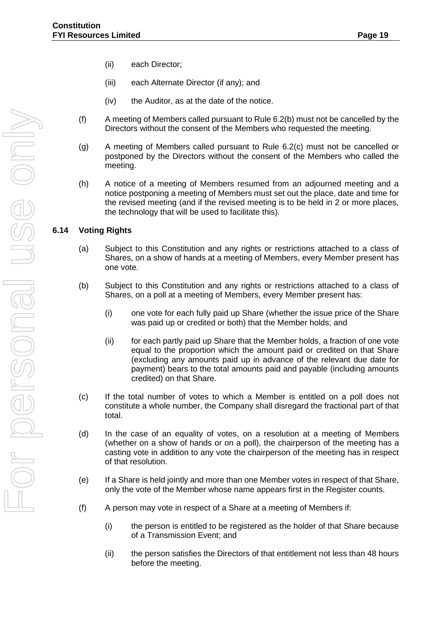- (ii) each Director;
- (iii) each Alternate Director (if any); and
- (iv) the Auditor, as at the date of the notice.
- (f) A meeting of Members called pursuant to Rule 6.2(b) must not be cancelled by the Directors without the consent of the Members who requested the meeting.
- (g) A meeting of Members called pursuant to Rule 6.2(c) must not be cancelled or postponed by the Directors without the consent of the Members who called the meeting.
- (h) A notice of a meeting of Members resumed from an adjourned meeting and a notice postponing a meeting of Members must set out the place, date and time for the revised meeting (and if the revised meeting is to be held in 2 or more places, the technology that will be used to facilitate this).

#### <span id="page-22-0"></span>**6.14 Voting Rights**

- (a) Subject to this Constitution and any rights or restrictions attached to a class of Shares, on a show of hands at a meeting of Members, every Member present has one vote.
- (b) Subject to this Constitution and any rights or restrictions attached to a class of Shares, on a poll at a meeting of Members, every Member present has:
	- (i) one vote for each fully paid up Share (whether the issue price of the Share was paid up or credited or both) that the Member holds; and
	- (ii) for each partly paid up Share that the Member holds, a fraction of one vote equal to the proportion which the amount paid or credited on that Share (excluding any amounts paid up in advance of the relevant due date for payment) bears to the total amounts paid and payable (including amounts credited) on that Share.
- (c) If the total number of votes to which a Member is entitled on a poll does not constitute a whole number, the Company shall disregard the fractional part of that total.
- (d) In the case of an equality of votes, on a resolution at a meeting of Members (whether on a show of hands or on a poll), the chairperson of the meeting has a casting vote in addition to any vote the chairperson of the meeting has in respect of that resolution.
- (e) If a Share is held jointly and more than one Member votes in respect of that Share, only the vote of the Member whose name appears first in the Register counts.
- (f) A person may vote in respect of a Share at a meeting of Members if:
	- (i) the person is entitled to be registered as the holder of that Share because of a Transmission Event; and
	- (ii) the person satisfies the Directors of that entitlement not less than 48 hours before the meeting.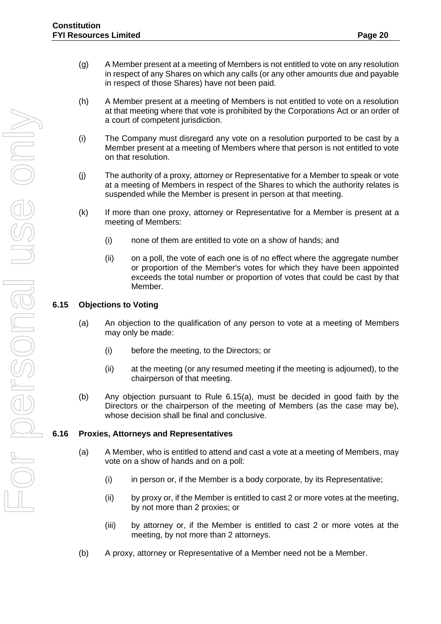- (g) A Member present at a meeting of Members is not entitled to vote on any resolution in respect of any Shares on which any calls (or any other amounts due and payable in respect of those Shares) have not been paid.
- (h) A Member present at a meeting of Members is not entitled to vote on a resolution at that meeting where that vote is prohibited by the Corporations Act or an order of a court of competent jurisdiction.
- (i) The Company must disregard any vote on a resolution purported to be cast by a Member present at a meeting of Members where that person is not entitled to vote on that resolution.
- (j) The authority of a proxy, attorney or Representative for a Member to speak or vote at a meeting of Members in respect of the Shares to which the authority relates is suspended while the Member is present in person at that meeting.
- (k) If more than one proxy, attorney or Representative for a Member is present at a meeting of Members:
	- (i) none of them are entitled to vote on a show of hands; and
	- (ii) on a poll, the vote of each one is of no effect where the aggregate number or proportion of the Member's votes for which they have been appointed exceeds the total number or proportion of votes that could be cast by that Member.

# <span id="page-23-0"></span>**6.15 Objections to Voting**

- (a) An objection to the qualification of any person to vote at a meeting of Members may only be made:
	- (i) before the meeting, to the Directors; or
	- (ii) at the meeting (or any resumed meeting if the meeting is adjourned), to the chairperson of that meeting.
- (b) Any objection pursuant to Rule 6.15(a), must be decided in good faith by the Directors or the chairperson of the meeting of Members (as the case may be), whose decision shall be final and conclusive.

#### <span id="page-23-1"></span>**6.16 Proxies, Attorneys and Representatives**

- (a) A Member, who is entitled to attend and cast a vote at a meeting of Members, may vote on a show of hands and on a poll:
	- (i) in person or, if the Member is a body corporate, by its Representative;
	- (ii) by proxy or, if the Member is entitled to cast 2 or more votes at the meeting, by not more than 2 proxies; or
	- (iii) by attorney or, if the Member is entitled to cast 2 or more votes at the meeting, by not more than 2 attorneys.
- (b) A proxy, attorney or Representative of a Member need not be a Member.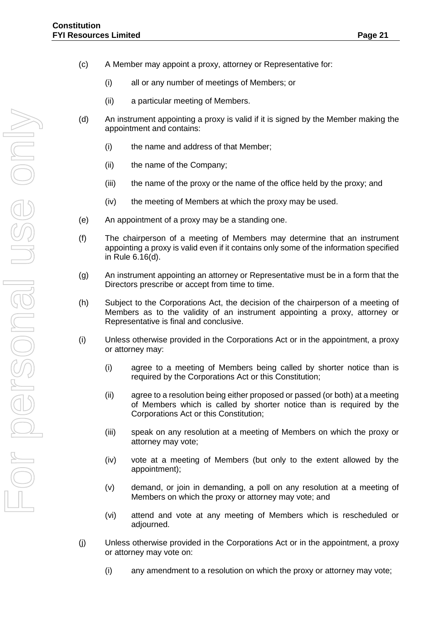- (c) A Member may appoint a proxy, attorney or Representative for:
	- (i) all or any number of meetings of Members; or
	- (ii) a particular meeting of Members.
- (d) An instrument appointing a proxy is valid if it is signed by the Member making the appointment and contains:
	- (i) the name and address of that Member;
	- (ii) the name of the Company;
	- (iii) the name of the proxy or the name of the office held by the proxy; and
	- (iv) the meeting of Members at which the proxy may be used.
- (e) An appointment of a proxy may be a standing one.
- (f) The chairperson of a meeting of Members may determine that an instrument appointing a proxy is valid even if it contains only some of the information specified in Rule 6.16(d).
- (g) An instrument appointing an attorney or Representative must be in a form that the Directors prescribe or accept from time to time.
- (h) Subject to the Corporations Act, the decision of the chairperson of a meeting of Members as to the validity of an instrument appointing a proxy, attorney or Representative is final and conclusive.
- (i) Unless otherwise provided in the Corporations Act or in the appointment, a proxy or attorney may:
	- (i) agree to a meeting of Members being called by shorter notice than is required by the Corporations Act or this Constitution;
	- (ii) agree to a resolution being either proposed or passed (or both) at a meeting of Members which is called by shorter notice than is required by the Corporations Act or this Constitution;
	- (iii) speak on any resolution at a meeting of Members on which the proxy or attorney may vote;
	- (iv) vote at a meeting of Members (but only to the extent allowed by the appointment);
	- (v) demand, or join in demanding, a poll on any resolution at a meeting of Members on which the proxy or attorney may vote; and
	- (vi) attend and vote at any meeting of Members which is rescheduled or adjourned.
- (j) Unless otherwise provided in the Corporations Act or in the appointment, a proxy or attorney may vote on:
	- (i) any amendment to a resolution on which the proxy or attorney may vote;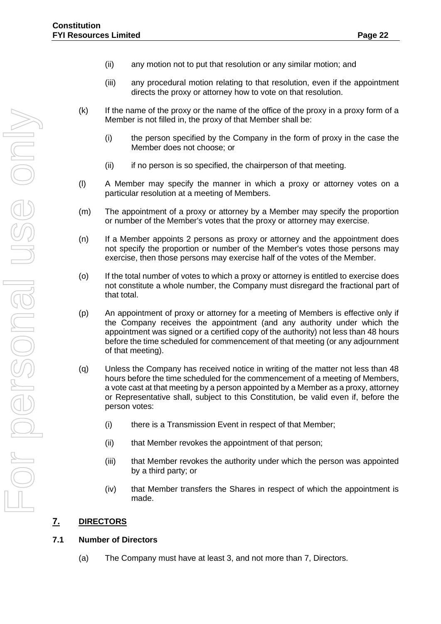- (ii) any motion not to put that resolution or any similar motion; and
- (iii) any procedural motion relating to that resolution, even if the appointment directs the proxy or attorney how to vote on that resolution.
- (k) If the name of the proxy or the name of the office of the proxy in a proxy form of a Member is not filled in, the proxy of that Member shall be:
	- (i) the person specified by the Company in the form of proxy in the case the Member does not choose; or
	- (ii) if no person is so specified, the chairperson of that meeting.
- (l) A Member may specify the manner in which a proxy or attorney votes on a particular resolution at a meeting of Members.
- (m) The appointment of a proxy or attorney by a Member may specify the proportion or number of the Member's votes that the proxy or attorney may exercise.
- (n) If a Member appoints 2 persons as proxy or attorney and the appointment does not specify the proportion or number of the Member's votes those persons may exercise, then those persons may exercise half of the votes of the Member.
- (o) If the total number of votes to which a proxy or attorney is entitled to exercise does not constitute a whole number, the Company must disregard the fractional part of that total.
- (p) An appointment of proxy or attorney for a meeting of Members is effective only if the Company receives the appointment (and any authority under which the appointment was signed or a certified copy of the authority) not less than 48 hours before the time scheduled for commencement of that meeting (or any adjournment of that meeting).
- (q) Unless the Company has received notice in writing of the matter not less than 48 hours before the time scheduled for the commencement of a meeting of Members, a vote cast at that meeting by a person appointed by a Member as a proxy, attorney or Representative shall, subject to this Constitution, be valid even if, before the person votes:
	- (i) there is a Transmission Event in respect of that Member;
	- (ii) that Member revokes the appointment of that person;
	- (iii) that Member revokes the authority under which the person was appointed by a third party; or
	- (iv) that Member transfers the Shares in respect of which the appointment is made.

# <span id="page-25-0"></span>**7. DIRECTORS**

#### <span id="page-25-1"></span>**7.1 Number of Directors**

(a) The Company must have at least 3, and not more than 7, Directors.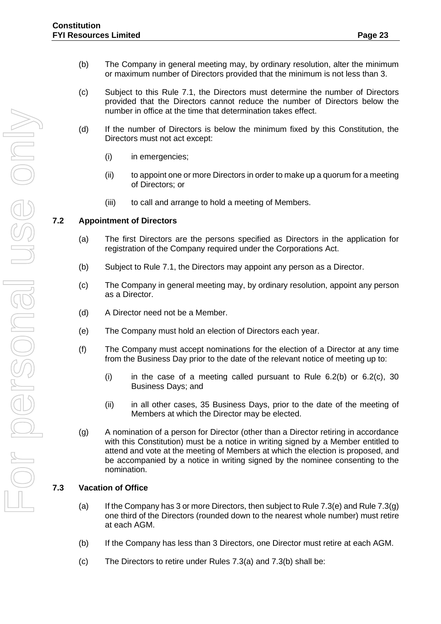- (b) The Company in general meeting may, by ordinary resolution, alter the minimum or maximum number of Directors provided that the minimum is not less than 3.
- (c) Subject to this Rule 7.1, the Directors must determine the number of Directors provided that the Directors cannot reduce the number of Directors below the number in office at the time that determination takes effect.
- (d) If the number of Directors is below the minimum fixed by this Constitution, the Directors must not act except:
	- (i) in emergencies;
	- (ii) to appoint one or more Directors in order to make up a quorum for a meeting of Directors; or
	- (iii) to call and arrange to hold a meeting of Members.

#### <span id="page-26-0"></span>**7.2 Appointment of Directors**

- (a) The first Directors are the persons specified as Directors in the application for registration of the Company required under the Corporations Act.
- (b) Subject to Rule 7.1, the Directors may appoint any person as a Director.
- (c) The Company in general meeting may, by ordinary resolution, appoint any person as a Director.
- (d) A Director need not be a Member.
- (e) The Company must hold an election of Directors each year.
- (f) The Company must accept nominations for the election of a Director at any time from the Business Day prior to the date of the relevant notice of meeting up to:
	- (i) in the case of a meeting called pursuant to Rule  $6.2(b)$  or  $6.2(c)$ ,  $30$ Business Days; and
	- (ii) in all other cases, 35 Business Days, prior to the date of the meeting of Members at which the Director may be elected.
- (g) A nomination of a person for Director (other than a Director retiring in accordance with this Constitution) must be a notice in writing signed by a Member entitled to attend and vote at the meeting of Members at which the election is proposed, and be accompanied by a notice in writing signed by the nominee consenting to the nomination.

#### <span id="page-26-1"></span>**7.3 Vacation of Office**

- (a) If the Company has 3 or more Directors, then subject to Rule 7.3(e) and Rule  $7.3(q)$ one third of the Directors (rounded down to the nearest whole number) must retire at each AGM.
- (b) If the Company has less than 3 Directors, one Director must retire at each AGM.
- (c) The Directors to retire under Rules 7.3(a) and 7.3(b) shall be: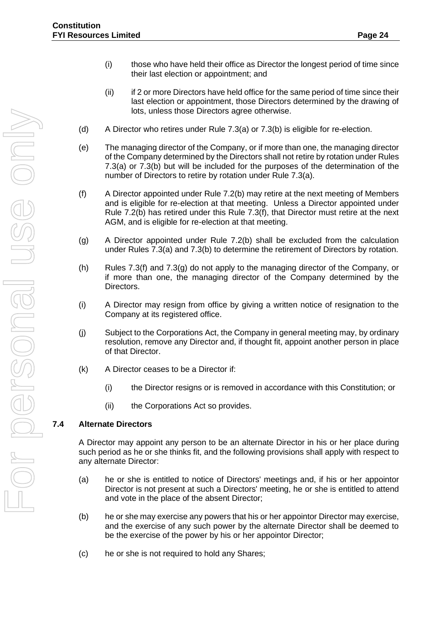- (i) those who have held their office as Director the longest period of time since their last election or appointment; and
- (ii) if 2 or more Directors have held office for the same period of time since their last election or appointment, those Directors determined by the drawing of lots, unless those Directors agree otherwise.
- (d) A Director who retires under Rule 7.3(a) or 7.3(b) is eligible for re-election.
- (e) The managing director of the Company, or if more than one, the managing director of the Company determined by the Directors shall not retire by rotation under Rules 7.3(a) or 7.3(b) but will be included for the purposes of the determination of the number of Directors to retire by rotation under Rule 7.3(a).
- (f) A Director appointed under Rule 7.2(b) may retire at the next meeting of Members and is eligible for re-election at that meeting. Unless a Director appointed under Rule 7.2(b) has retired under this Rule 7.3(f), that Director must retire at the next AGM, and is eligible for re-election at that meeting.
- (g) A Director appointed under Rule 7.2(b) shall be excluded from the calculation under Rules 7.3(a) and 7.3(b) to determine the retirement of Directors by rotation.
- (h) Rules 7.3(f) and 7.3(g) do not apply to the managing director of the Company, or if more than one, the managing director of the Company determined by the Directors.
- (i) A Director may resign from office by giving a written notice of resignation to the Company at its registered office.
- (j) Subject to the Corporations Act, the Company in general meeting may, by ordinary resolution, remove any Director and, if thought fit, appoint another person in place of that Director.
- (k) A Director ceases to be a Director if:
	- (i) the Director resigns or is removed in accordance with this Constitution; or
	- (ii) the Corporations Act so provides.

# <span id="page-27-0"></span>**7.4 Alternate Directors**

A Director may appoint any person to be an alternate Director in his or her place during such period as he or she thinks fit, and the following provisions shall apply with respect to any alternate Director:

- (a) he or she is entitled to notice of Directors' meetings and, if his or her appointor Director is not present at such a Directors' meeting, he or she is entitled to attend and vote in the place of the absent Director;
- (b) he or she may exercise any powers that his or her appointor Director may exercise, and the exercise of any such power by the alternate Director shall be deemed to be the exercise of the power by his or her appointor Director;
- (c) he or she is not required to hold any Shares;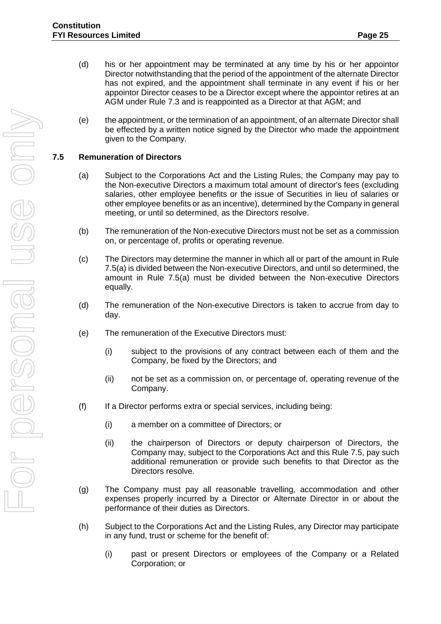- (d) his or her appointment may be terminated at any time by his or her appointor Director notwithstanding that the period of the appointment of the alternate Director has not expired, and the appointment shall terminate in any event if his or her appointor Director ceases to be a Director except where the appointor retires at an AGM under Rule [7.3](#page-26-1) and is reappointed as a Director at that AGM; and
- (e) the appointment, or the termination of an appointment, of an alternate Director shall be effected by a written notice signed by the Director who made the appointment given to the Company.

#### <span id="page-28-0"></span>**7.5 Remuneration of Directors**

- (a) Subject to the Corporations Act and the Listing Rules, the Company may pay to the Non-executive Directors a maximum total amount of director's fees (excluding salaries, other employee benefits or the issue of Securities in lieu of salaries or other employee benefits or as an incentive), determined by the Company in general meeting, or until so determined, as the Directors resolve.
- (b) The remuneration of the Non-executive Directors must not be set as a commission on, or percentage of, profits or operating revenue.
- (c) The Directors may determine the manner in which all or part of the amount in Rule 7.5(a) is divided between the Non-executive Directors, and until so determined, the amount in Rule 7.5(a) must be divided between the Non-executive Directors equally.
- (d) The remuneration of the Non-executive Directors is taken to accrue from day to day.
- (e) The remuneration of the Executive Directors must:
	- (i) subject to the provisions of any contract between each of them and the Company, be fixed by the Directors; and
	- (ii) not be set as a commission on, or percentage of, operating revenue of the Company.
- (f) If a Director performs extra or special services, including being:
	- (i) a member on a committee of Directors; or
	- (ii) the chairperson of Directors or deputy chairperson of Directors, the Company may, subject to the Corporations Act and this Rule 7.5, pay such additional remuneration or provide such benefits to that Director as the Directors resolve.
- (g) The Company must pay all reasonable travelling, accommodation and other expenses properly incurred by a Director or Alternate Director in or about the performance of their duties as Directors.
- (h) Subject to the Corporations Act and the Listing Rules, any Director may participate in any fund, trust or scheme for the benefit of:
	- (i) past or present Directors or employees of the Company or a Related Corporation; or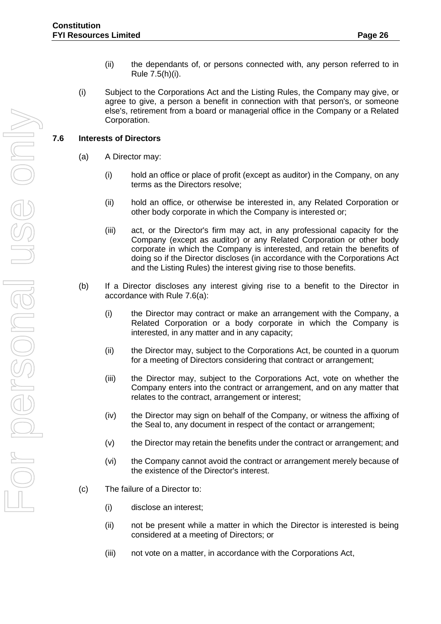- (ii) the dependants of, or persons connected with, any person referred to in Rule 7.5(h)(i).
- (i) Subject to the Corporations Act and the Listing Rules, the Company may give, or agree to give, a person a benefit in connection with that person's, or someone else's, retirement from a board or managerial office in the Company or a Related Corporation.

#### <span id="page-29-0"></span>**7.6 Interests of Directors**

- (a) A Director may:
	- (i) hold an office or place of profit (except as auditor) in the Company, on any terms as the Directors resolve;
	- (ii) hold an office, or otherwise be interested in, any Related Corporation or other body corporate in which the Company is interested or;
	- (iii) act, or the Director's firm may act, in any professional capacity for the Company (except as auditor) or any Related Corporation or other body corporate in which the Company is interested, and retain the benefits of doing so if the Director discloses (in accordance with the Corporations Act and the Listing Rules) the interest giving rise to those benefits.
- (b) If a Director discloses any interest giving rise to a benefit to the Director in accordance with Rule 7.6(a):
	- (i) the Director may contract or make an arrangement with the Company, a Related Corporation or a body corporate in which the Company is interested, in any matter and in any capacity;
	- (ii) the Director may, subject to the Corporations Act, be counted in a quorum for a meeting of Directors considering that contract or arrangement;
	- (iii) the Director may, subject to the Corporations Act, vote on whether the Company enters into the contract or arrangement, and on any matter that relates to the contract, arrangement or interest;
	- (iv) the Director may sign on behalf of the Company, or witness the affixing of the Seal to, any document in respect of the contact or arrangement;
	- (v) the Director may retain the benefits under the contract or arrangement; and
	- (vi) the Company cannot avoid the contract or arrangement merely because of the existence of the Director's interest.
- (c) The failure of a Director to:
	- (i) disclose an interest;
	- (ii) not be present while a matter in which the Director is interested is being considered at a meeting of Directors; or
	- (iii) not vote on a matter, in accordance with the Corporations Act,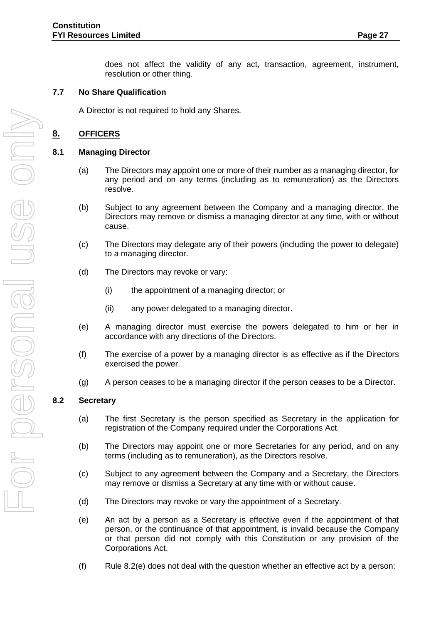does not affect the validity of any act, transaction, agreement, instrument, resolution or other thing.

#### <span id="page-30-0"></span>**7.7 No Share Qualification**

A Director is not required to hold any Shares.

## <span id="page-30-1"></span>**8. OFFICERS**

#### <span id="page-30-2"></span>**8.1 Managing Director**

- (a) The Directors may appoint one or more of their number as a managing director, for any period and on any terms (including as to remuneration) as the Directors resolve.
- (b) Subject to any agreement between the Company and a managing director, the Directors may remove or dismiss a managing director at any time, with or without cause.
- (c) The Directors may delegate any of their powers (including the power to delegate) to a managing director.
- (d) The Directors may revoke or vary:
	- (i) the appointment of a managing director; or
	- (ii) any power delegated to a managing director.
- (e) A managing director must exercise the powers delegated to him or her in accordance with any directions of the Directors.
- (f) The exercise of a power by a managing director is as effective as if the Directors exercised the power.
- (g) A person ceases to be a managing director if the person ceases to be a Director.

#### <span id="page-30-3"></span>**8.2 Secretary**

- (a) The first Secretary is the person specified as Secretary in the application for registration of the Company required under the Corporations Act.
- (b) The Directors may appoint one or more Secretaries for any period, and on any terms (including as to remuneration), as the Directors resolve.
- (c) Subject to any agreement between the Company and a Secretary, the Directors may remove or dismiss a Secretary at any time with or without cause.
- (d) The Directors may revoke or vary the appointment of a Secretary.
- (e) An act by a person as a Secretary is effective even if the appointment of that person, or the continuance of that appointment, is invalid because the Company or that person did not comply with this Constitution or any provision of the Corporations Act.
- (f) Rule 8.2(e) does not deal with the question whether an effective act by a person: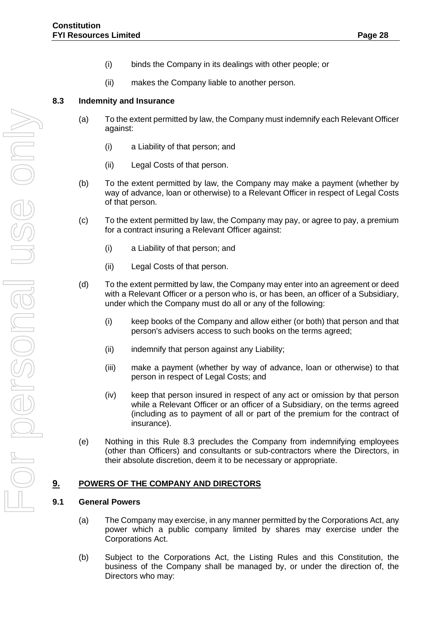- (i) binds the Company in its dealings with other people; or
- (ii) makes the Company liable to another person.

#### <span id="page-31-0"></span>**8.3 Indemnity and Insurance**

- (a) To the extent permitted by law, the Company must indemnify each Relevant Officer against:
	- (i) a Liability of that person; and
	- (ii) Legal Costs of that person.
- (b) To the extent permitted by law, the Company may make a payment (whether by way of advance, loan or otherwise) to a Relevant Officer in respect of Legal Costs of that person.
- (c) To the extent permitted by law, the Company may pay, or agree to pay, a premium for a contract insuring a Relevant Officer against:
	- (i) a Liability of that person; and
	- (ii) Legal Costs of that person.
- (d) To the extent permitted by law, the Company may enter into an agreement or deed with a Relevant Officer or a person who is, or has been, an officer of a Subsidiary, under which the Company must do all or any of the following:
	- (i) keep books of the Company and allow either (or both) that person and that person's advisers access to such books on the terms agreed;
	- (ii) indemnify that person against any Liability;
	- (iii) make a payment (whether by way of advance, loan or otherwise) to that person in respect of Legal Costs; and
	- (iv) keep that person insured in respect of any act or omission by that person while a Relevant Officer or an officer of a Subsidiary, on the terms agreed (including as to payment of all or part of the premium for the contract of insurance).
- (e) Nothing in this Rule 8.3 precludes the Company from indemnifying employees (other than Officers) and consultants or sub-contractors where the Directors, in their absolute discretion, deem it to be necessary or appropriate.

# <span id="page-31-2"></span><span id="page-31-1"></span>**9. POWERS OF THE COMPANY AND DIRECTORS**

#### **9.1 General Powers**

- (a) The Company may exercise, in any manner permitted by the Corporations Act, any power which a public company limited by shares may exercise under the Corporations Act.
- (b) Subject to the Corporations Act, the Listing Rules and this Constitution, the business of the Company shall be managed by, or under the direction of, the Directors who may: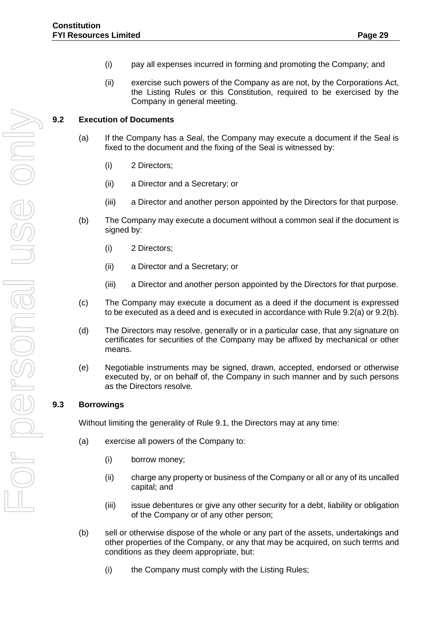- (i) pay all expenses incurred in forming and promoting the Company; and
- (ii) exercise such powers of the Company as are not, by the Corporations Act, the Listing Rules or this Constitution, required to be exercised by the Company in general meeting.

# <span id="page-32-0"></span>**9.2 Execution of Documents**

- (a) If the Company has a Seal, the Company may execute a document if the Seal is fixed to the document and the fixing of the Seal is witnessed by:
	- (i) 2 Directors;
	- (ii) a Director and a Secretary; or
	- (iii) a Director and another person appointed by the Directors for that purpose.
- (b) The Company may execute a document without a common seal if the document is signed by:
	- (i) 2 Directors;
	- (ii) a Director and a Secretary; or
	- (iii) a Director and another person appointed by the Directors for that purpose.
- (c) The Company may execute a document as a deed if the document is expressed to be executed as a deed and is executed in accordance with Rule 9.2(a) or 9.2(b).
- (d) The Directors may resolve, generally or in a particular case, that any signature on certificates for securities of the Company may be affixed by mechanical or other means.
- (e) Negotiable instruments may be signed, drawn, accepted, endorsed or otherwise executed by, or on behalf of, the Company in such manner and by such persons as the Directors resolve.

# <span id="page-32-1"></span>**9.3 Borrowings**

Without limiting the generality of Rule 9.1, the Directors may at any time:

- (a) exercise all powers of the Company to:
	- (i) borrow money;
	- (ii) charge any property or business of the Company or all or any of its uncalled capital; and
	- (iii) issue debentures or give any other security for a debt, liability or obligation of the Company or of any other person;
- (b) sell or otherwise dispose of the whole or any part of the assets, undertakings and other properties of the Company, or any that may be acquired, on such terms and conditions as they deem appropriate, but:
	- (i) the Company must comply with the Listing Rules;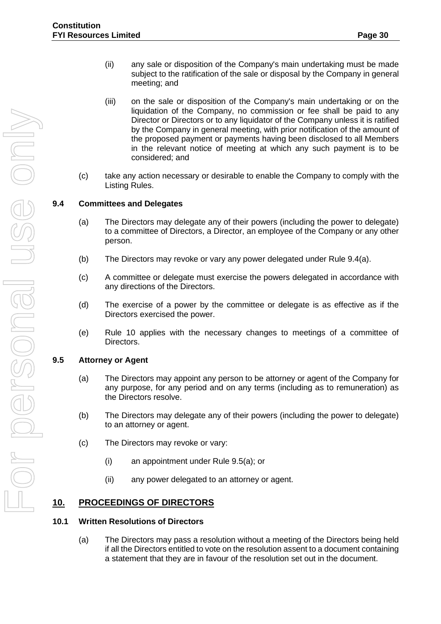- (ii) any sale or disposition of the Company's main undertaking must be made subject to the ratification of the sale or disposal by the Company in general meeting; and
- (iii) on the sale or disposition of the Company's main undertaking or on the liquidation of the Company, no commission or fee shall be paid to any Director or Directors or to any liquidator of the Company unless it is ratified by the Company in general meeting, with prior notification of the amount of the proposed payment or payments having been disclosed to all Members in the relevant notice of meeting at which any such payment is to be considered; and
- (c) take any action necessary or desirable to enable the Company to comply with the Listing Rules.

#### <span id="page-33-0"></span>**9.4 Committees and Delegates**

- (a) The Directors may delegate any of their powers (including the power to delegate) to a committee of Directors, a Director, an employee of the Company or any other person.
- (b) The Directors may revoke or vary any power delegated under Rule 9.4(a).
- (c) A committee or delegate must exercise the powers delegated in accordance with any directions of the Directors.
- (d) The exercise of a power by the committee or delegate is as effective as if the Directors exercised the power.
- (e) Rule 10 applies with the necessary changes to meetings of a committee of Directors.

#### <span id="page-33-1"></span>**9.5 Attorney or Agent**

- (a) The Directors may appoint any person to be attorney or agent of the Company for any purpose, for any period and on any terms (including as to remuneration) as the Directors resolve.
- (b) The Directors may delegate any of their powers (including the power to delegate) to an attorney or agent.
- (c) The Directors may revoke or vary:
	- (i) an appointment under Rule 9.5(a); or
	- (ii) any power delegated to an attorney or agent.

# <span id="page-33-2"></span>**10. PROCEEDINGS OF DIRECTORS**

#### <span id="page-33-3"></span>**10.1 Written Resolutions of Directors**

(a) The Directors may pass a resolution without a meeting of the Directors being held if all the Directors entitled to vote on the resolution assent to a document containing a statement that they are in favour of the resolution set out in the document.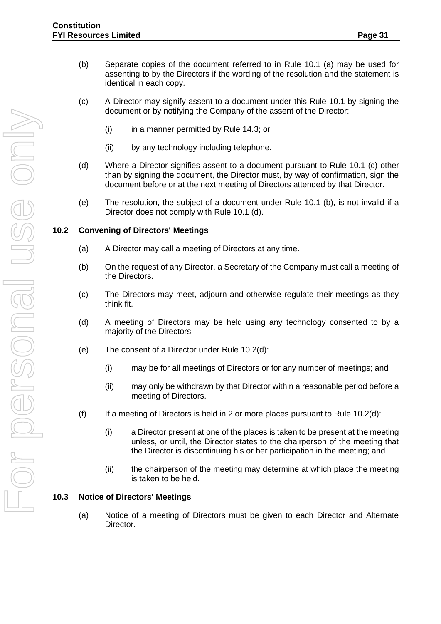- (b) Separate copies of the document referred to in Rule 10.1 (a) may be used for assenting to by the Directors if the wording of the resolution and the statement is identical in each copy.
- (c) A Director may signify assent to a document under this Rule 10.1 by signing the document or by notifying the Company of the assent of the Director:
	- $(i)$  in a manner permitted by Rule 14.3; or
	- (ii) by any technology including telephone.
- (d) Where a Director signifies assent to a document pursuant to Rule 10.1 (c) other than by signing the document, the Director must, by way of confirmation, sign the document before or at the next meeting of Directors attended by that Director.
- (e) The resolution, the subject of a document under Rule 10.1 (b), is not invalid if a Director does not comply with Rule 10.1 (d).

#### <span id="page-34-0"></span>**10.2 Convening of Directors' Meetings**

- (a) A Director may call a meeting of Directors at any time.
- (b) On the request of any Director, a Secretary of the Company must call a meeting of the Directors.
- (c) The Directors may meet, adjourn and otherwise regulate their meetings as they think fit.
- (d) A meeting of Directors may be held using any technology consented to by a majority of the Directors.
- (e) The consent of a Director under Rule 10.2(d):
	- (i) may be for all meetings of Directors or for any number of meetings; and
	- (ii) may only be withdrawn by that Director within a reasonable period before a meeting of Directors.
- (f) If a meeting of Directors is held in 2 or more places pursuant to Rule 10.2(d):
	- (i) a Director present at one of the places is taken to be present at the meeting unless, or until, the Director states to the chairperson of the meeting that the Director is discontinuing his or her participation in the meeting; and
	- (ii) the chairperson of the meeting may determine at which place the meeting is taken to be held.

#### <span id="page-34-1"></span>**10.3 Notice of Directors' Meetings**

(a) Notice of a meeting of Directors must be given to each Director and Alternate Director.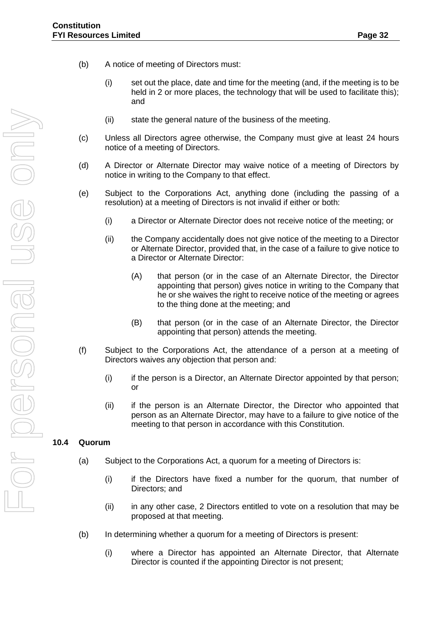- (b) A notice of meeting of Directors must:
	- (i) set out the place, date and time for the meeting (and, if the meeting is to be held in 2 or more places, the technology that will be used to facilitate this); and
	- (ii) state the general nature of the business of the meeting.
- (c) Unless all Directors agree otherwise, the Company must give at least 24 hours notice of a meeting of Directors.
- (d) A Director or Alternate Director may waive notice of a meeting of Directors by notice in writing to the Company to that effect.
- (e) Subject to the Corporations Act, anything done (including the passing of a resolution) at a meeting of Directors is not invalid if either or both:
	- (i) a Director or Alternate Director does not receive notice of the meeting; or
	- (ii) the Company accidentally does not give notice of the meeting to a Director or Alternate Director, provided that, in the case of a failure to give notice to a Director or Alternate Director:
		- (A) that person (or in the case of an Alternate Director, the Director appointing that person) gives notice in writing to the Company that he or she waives the right to receive notice of the meeting or agrees to the thing done at the meeting; and
		- (B) that person (or in the case of an Alternate Director, the Director appointing that person) attends the meeting.
- (f) Subject to the Corporations Act, the attendance of a person at a meeting of Directors waives any objection that person and:
	- (i) if the person is a Director, an Alternate Director appointed by that person; or
	- (ii) if the person is an Alternate Director, the Director who appointed that person as an Alternate Director, may have to a failure to give notice of the meeting to that person in accordance with this Constitution.

#### <span id="page-35-0"></span>**10.4 Quorum**

- (a) Subject to the Corporations Act, a quorum for a meeting of Directors is:
	- (i) if the Directors have fixed a number for the quorum, that number of Directors; and
	- (ii) in any other case, 2 Directors entitled to vote on a resolution that may be proposed at that meeting.
- (b) In determining whether a quorum for a meeting of Directors is present:
	- (i) where a Director has appointed an Alternate Director, that Alternate Director is counted if the appointing Director is not present;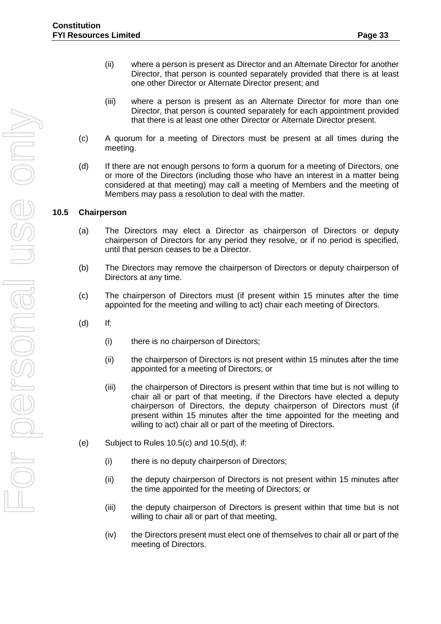- (ii) where a person is present as Director and an Alternate Director for another Director, that person is counted separately provided that there is at least one other Director or Alternate Director present; and
- (iii) where a person is present as an Alternate Director for more than one Director, that person is counted separately for each appointment provided that there is at least one other Director or Alternate Director present.
- (c) A quorum for a meeting of Directors must be present at all times during the meeting.
- (d) If there are not enough persons to form a quorum for a meeting of Directors, one or more of the Directors (including those who have an interest in a matter being considered at that meeting) may call a meeting of Members and the meeting of Members may pass a resolution to deal with the matter.

## <span id="page-36-0"></span>**10.5 Chairperson**

- (a) The Directors may elect a Director as chairperson of Directors or deputy chairperson of Directors for any period they resolve, or if no period is specified, until that person ceases to be a Director.
- (b) The Directors may remove the chairperson of Directors or deputy chairperson of Directors at any time.
- (c) The chairperson of Directors must (if present within 15 minutes after the time appointed for the meeting and willing to act) chair each meeting of Directors.
- (d) If:
	- (i) there is no chairperson of Directors;
	- (ii) the chairperson of Directors is not present within 15 minutes after the time appointed for a meeting of Directors; or
	- (iii) the chairperson of Directors is present within that time but is not willing to chair all or part of that meeting, if the Directors have elected a deputy chairperson of Directors, the deputy chairperson of Directors must (if present within 15 minutes after the time appointed for the meeting and willing to act) chair all or part of the meeting of Directors.
- (e) Subject to Rules 10.5(c) and 10.5(d), if:
	- (i) there is no deputy chairperson of Directors;
	- (ii) the deputy chairperson of Directors is not present within 15 minutes after the time appointed for the meeting of Directors; or
	- (iii) the deputy chairperson of Directors is present within that time but is not willing to chair all or part of that meeting,
	- (iv) the Directors present must elect one of themselves to chair all or part of the meeting of Directors.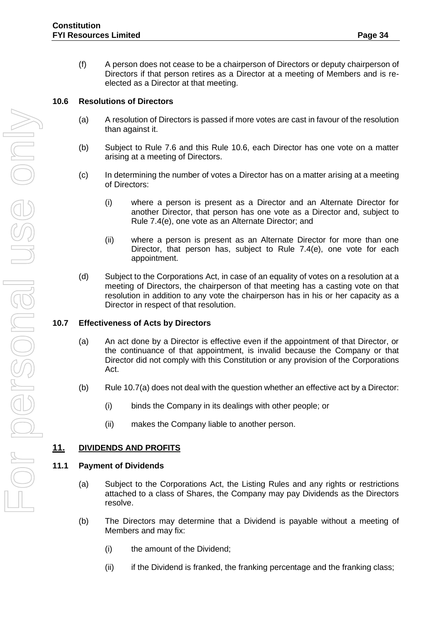(f) A person does not cease to be a chairperson of Directors or deputy chairperson of Directors if that person retires as a Director at a meeting of Members and is reelected as a Director at that meeting.

# <span id="page-37-0"></span>**10.6 Resolutions of Directors**

- (a) A resolution of Directors is passed if more votes are cast in favour of the resolution than against it.
- (b) Subject to Rule 7.6 and this Rule 10.6, each Director has one vote on a matter arising at a meeting of Directors.
- (c) In determining the number of votes a Director has on a matter arising at a meeting of Directors:
	- (i) where a person is present as a Director and an Alternate Director for another Director, that person has one vote as a Director and, subject to Rule 7.4(e), one vote as an Alternate Director; and
	- (ii) where a person is present as an Alternate Director for more than one Director, that person has, subject to Rule 7.4(e), one vote for each appointment.
- (d) Subject to the Corporations Act, in case of an equality of votes on a resolution at a meeting of Directors, the chairperson of that meeting has a casting vote on that resolution in addition to any vote the chairperson has in his or her capacity as a Director in respect of that resolution.

# <span id="page-37-1"></span>**10.7 Effectiveness of Acts by Directors**

- (a) An act done by a Director is effective even if the appointment of that Director, or the continuance of that appointment, is invalid because the Company or that Director did not comply with this Constitution or any provision of the Corporations Act.
- (b) Rule 10.7(a) does not deal with the question whether an effective act by a Director:
	- (i) binds the Company in its dealings with other people; or
	- (ii) makes the Company liable to another person.

# <span id="page-37-2"></span>**11. DIVIDENDS AND PROFITS**

# <span id="page-37-3"></span>**11.1 Payment of Dividends**

- (a) Subject to the Corporations Act, the Listing Rules and any rights or restrictions attached to a class of Shares, the Company may pay Dividends as the Directors resolve.
- (b) The Directors may determine that a Dividend is payable without a meeting of Members and may fix:
	- (i) the amount of the Dividend;
	- (ii) if the Dividend is franked, the franking percentage and the franking class;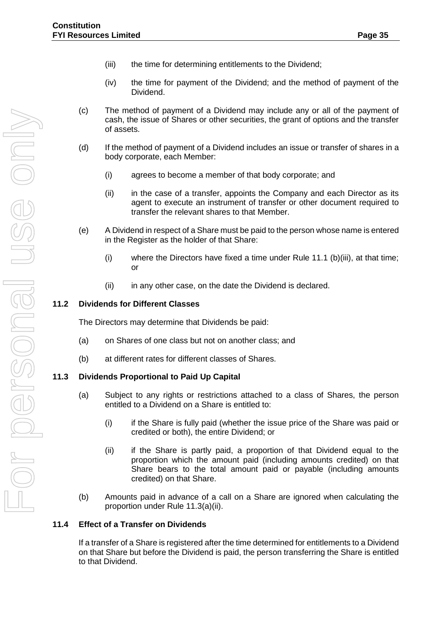- (iii) the time for determining entitlements to the Dividend;
- (iv) the time for payment of the Dividend; and the method of payment of the Dividend.
- (c) The method of payment of a Dividend may include any or all of the payment of cash, the issue of Shares or other securities, the grant of options and the transfer of assets.
- (d) If the method of payment of a Dividend includes an issue or transfer of shares in a body corporate, each Member:
	- (i) agrees to become a member of that body corporate; and
	- (ii) in the case of a transfer, appoints the Company and each Director as its agent to execute an instrument of transfer or other document required to transfer the relevant shares to that Member.
- (e) A Dividend in respect of a Share must be paid to the person whose name is entered in the Register as the holder of that Share:
	- (i) where the Directors have fixed a time under Rule 11.1 (b)(iii), at that time; or
	- (ii) in any other case, on the date the Dividend is declared.

## <span id="page-38-0"></span>**11.2 Dividends for Different Classes**

The Directors may determine that Dividends be paid:

- (a) on Shares of one class but not on another class; and
- (b) at different rates for different classes of Shares.

#### <span id="page-38-1"></span>**11.3 Dividends Proportional to Paid Up Capital**

- (a) Subject to any rights or restrictions attached to a class of Shares, the person entitled to a Dividend on a Share is entitled to:
	- (i) if the Share is fully paid (whether the issue price of the Share was paid or credited or both), the entire Dividend; or
	- (ii) if the Share is partly paid, a proportion of that Dividend equal to the proportion which the amount paid (including amounts credited) on that Share bears to the total amount paid or payable (including amounts credited) on that Share.
- (b) Amounts paid in advance of a call on a Share are ignored when calculating the proportion under Rule 11.3(a)(ii).

#### <span id="page-38-2"></span>**11.4 Effect of a Transfer on Dividends**

If a transfer of a Share is registered after the time determined for entitlements to a Dividend on that Share but before the Dividend is paid, the person transferring the Share is entitled to that Dividend.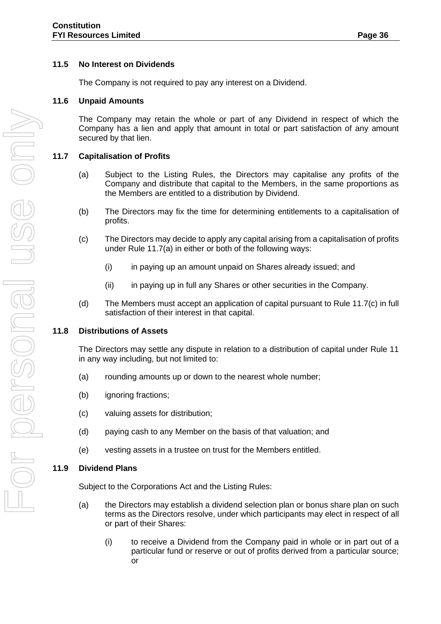## <span id="page-39-0"></span>**11.5 No Interest on Dividends**

The Company is not required to pay any interest on a Dividend.

#### <span id="page-39-1"></span>**11.6 Unpaid Amounts**

The Company may retain the whole or part of any Dividend in respect of which the Company has a lien and apply that amount in total or part satisfaction of any amount secured by that lien.

## <span id="page-39-2"></span>**11.7 Capitalisation of Profits**

- (a) Subject to the Listing Rules, the Directors may capitalise any profits of the Company and distribute that capital to the Members, in the same proportions as the Members are entitled to a distribution by Dividend.
- (b) The Directors may fix the time for determining entitlements to a capitalisation of profits.
- (c) The Directors may decide to apply any capital arising from a capitalisation of profits under Rule 11.7(a) in either or both of the following ways:
	- (i) in paying up an amount unpaid on Shares already issued; and
	- (ii) in paying up in full any Shares or other securities in the Company.
- (d) The Members must accept an application of capital pursuant to Rule 11.7(c) in full satisfaction of their interest in that capital.

#### <span id="page-39-3"></span>**11.8 Distributions of Assets**

The Directors may settle any dispute in relation to a distribution of capital under Rule 11 in any way including, but not limited to:

- (a) rounding amounts up or down to the nearest whole number;
- (b) ignoring fractions;
- (c) valuing assets for distribution;
- (d) paying cash to any Member on the basis of that valuation; and
- (e) vesting assets in a trustee on trust for the Members entitled.

#### <span id="page-39-4"></span>**11.9 Dividend Plans**

Subject to the Corporations Act and the Listing Rules:

- (a) the Directors may establish a dividend selection plan or bonus share plan on such terms as the Directors resolve, under which participants may elect in respect of all or part of their Shares:
	- (i) to receive a Dividend from the Company paid in whole or in part out of a particular fund or reserve or out of profits derived from a particular source; or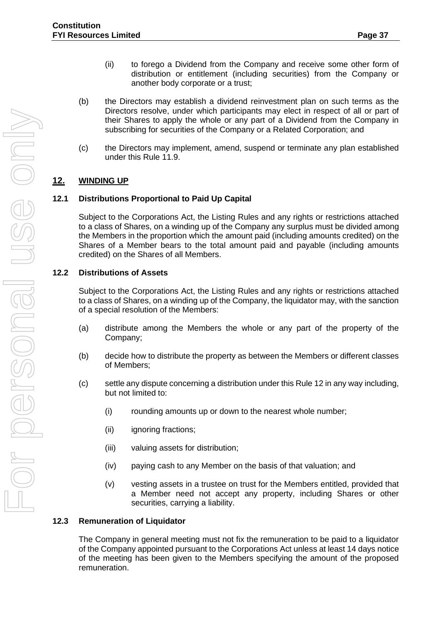- (ii) to forego a Dividend from the Company and receive some other form of distribution or entitlement (including securities) from the Company or another body corporate or a trust;
- (b) the Directors may establish a dividend reinvestment plan on such terms as the Directors resolve, under which participants may elect in respect of all or part of their Shares to apply the whole or any part of a Dividend from the Company in subscribing for securities of the Company or a Related Corporation; and
- (c) the Directors may implement, amend, suspend or terminate any plan established under this Rule 11.9.

# <span id="page-40-0"></span>**12. WINDING UP**

#### <span id="page-40-1"></span>**12.1 Distributions Proportional to Paid Up Capital**

Subject to the Corporations Act, the Listing Rules and any rights or restrictions attached to a class of Shares, on a winding up of the Company any surplus must be divided among the Members in the proportion which the amount paid (including amounts credited) on the Shares of a Member bears to the total amount paid and payable (including amounts credited) on the Shares of all Members.

#### <span id="page-40-2"></span>**12.2 Distributions of Assets**

Subject to the Corporations Act, the Listing Rules and any rights or restrictions attached to a class of Shares, on a winding up of the Company, the liquidator may, with the sanction of a special resolution of the Members:

- (a) distribute among the Members the whole or any part of the property of the Company;
- (b) decide how to distribute the property as between the Members or different classes of Members;
- (c) settle any dispute concerning a distribution under this Rule 12 in any way including, but not limited to:
	- (i) rounding amounts up or down to the nearest whole number;
	- (ii) ignoring fractions;
	- (iii) valuing assets for distribution;
	- (iv) paying cash to any Member on the basis of that valuation; and
	- (v) vesting assets in a trustee on trust for the Members entitled, provided that a Member need not accept any property, including Shares or other securities, carrying a liability.

#### <span id="page-40-3"></span>**12.3 Remuneration of Liquidator**

The Company in general meeting must not fix the remuneration to be paid to a liquidator of the Company appointed pursuant to the Corporations Act unless at least 14 days notice of the meeting has been given to the Members specifying the amount of the proposed remuneration.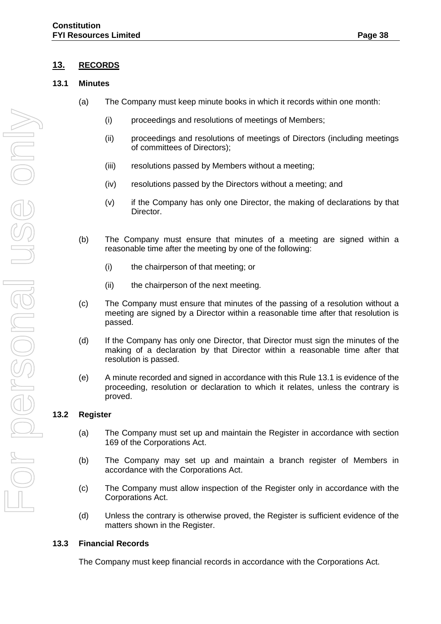## <span id="page-41-0"></span>**13. RECORDS**

#### <span id="page-41-1"></span>**13.1 Minutes**

- (a) The Company must keep minute books in which it records within one month:
	- (i) proceedings and resolutions of meetings of Members;
	- (ii) proceedings and resolutions of meetings of Directors (including meetings of committees of Directors);
	- (iii) resolutions passed by Members without a meeting;
	- (iv) resolutions passed by the Directors without a meeting; and
	- (v) if the Company has only one Director, the making of declarations by that Director.
- (b) The Company must ensure that minutes of a meeting are signed within a reasonable time after the meeting by one of the following:
	- (i) the chairperson of that meeting; or
	- (ii) the chairperson of the next meeting.
- (c) The Company must ensure that minutes of the passing of a resolution without a meeting are signed by a Director within a reasonable time after that resolution is passed.
- (d) If the Company has only one Director, that Director must sign the minutes of the making of a declaration by that Director within a reasonable time after that resolution is passed.
- (e) A minute recorded and signed in accordance with this Rule 13.1 is evidence of the proceeding, resolution or declaration to which it relates, unless the contrary is proved.

#### <span id="page-41-2"></span>**13.2 Register**

- (a) The Company must set up and maintain the Register in accordance with section 169 of the Corporations Act.
- (b) The Company may set up and maintain a branch register of Members in accordance with the Corporations Act.
- (c) The Company must allow inspection of the Register only in accordance with the Corporations Act.
- (d) Unless the contrary is otherwise proved, the Register is sufficient evidence of the matters shown in the Register.

#### <span id="page-41-3"></span>**13.3 Financial Records**

The Company must keep financial records in accordance with the Corporations Act.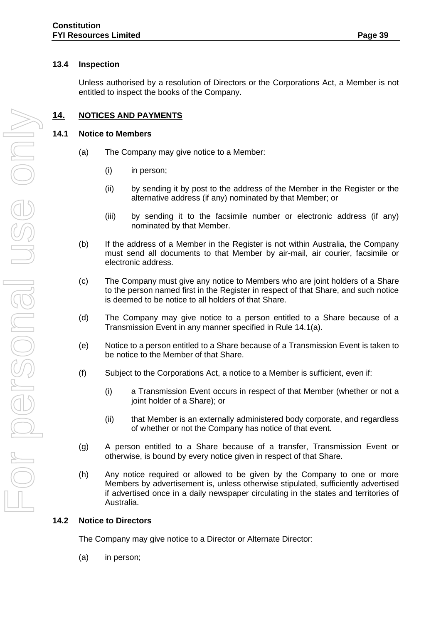#### <span id="page-42-0"></span>**13.4 Inspection**

Unless authorised by a resolution of Directors or the Corporations Act, a Member is not entitled to inspect the books of the Company.

## <span id="page-42-1"></span>**14. NOTICES AND PAYMENTS**

#### <span id="page-42-2"></span>**14.1 Notice to Members**

- (a) The Company may give notice to a Member:
	- (i) in person;
	- (ii) by sending it by post to the address of the Member in the Register or the alternative address (if any) nominated by that Member; or
	- (iii) by sending it to the facsimile number or electronic address (if any) nominated by that Member.
- (b) If the address of a Member in the Register is not within Australia, the Company must send all documents to that Member by air-mail, air courier, facsimile or electronic address.
- (c) The Company must give any notice to Members who are joint holders of a Share to the person named first in the Register in respect of that Share, and such notice is deemed to be notice to all holders of that Share.
- (d) The Company may give notice to a person entitled to a Share because of a Transmission Event in any manner specified in Rule 14.1(a).
- (e) Notice to a person entitled to a Share because of a Transmission Event is taken to be notice to the Member of that Share.
- (f) Subject to the Corporations Act, a notice to a Member is sufficient, even if:
	- (i) a Transmission Event occurs in respect of that Member (whether or not a joint holder of a Share); or
	- (ii) that Member is an externally administered body corporate, and regardless of whether or not the Company has notice of that event.
- (g) A person entitled to a Share because of a transfer, Transmission Event or otherwise, is bound by every notice given in respect of that Share.
- (h) Any notice required or allowed to be given by the Company to one or more Members by advertisement is, unless otherwise stipulated, sufficiently advertised if advertised once in a daily newspaper circulating in the states and territories of Australia.

#### <span id="page-42-3"></span>**14.2 Notice to Directors**

The Company may give notice to a Director or Alternate Director:

(a) in person;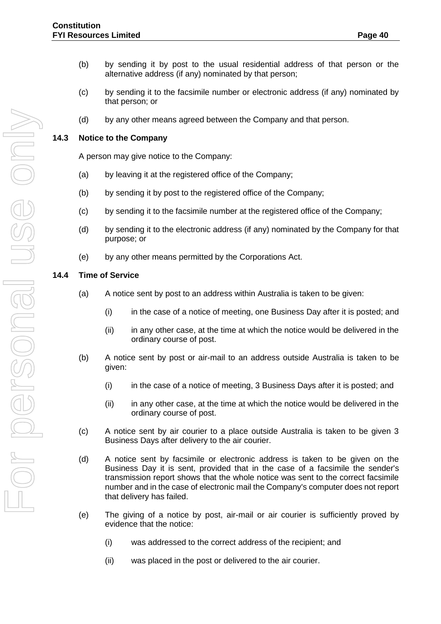- (b) by sending it by post to the usual residential address of that person or the alternative address (if any) nominated by that person;
- (c) by sending it to the facsimile number or electronic address (if any) nominated by that person; or
- (d) by any other means agreed between the Company and that person.

#### <span id="page-43-0"></span>**14.3 Notice to the Company**

A person may give notice to the Company:

- (a) by leaving it at the registered office of the Company;
- (b) by sending it by post to the registered office of the Company;
- (c) by sending it to the facsimile number at the registered office of the Company;
- (d) by sending it to the electronic address (if any) nominated by the Company for that purpose; or
- (e) by any other means permitted by the Corporations Act.

#### <span id="page-43-1"></span>**14.4 Time of Service**

- (a) A notice sent by post to an address within Australia is taken to be given:
	- (i) in the case of a notice of meeting, one Business Day after it is posted; and
	- (ii) in any other case, at the time at which the notice would be delivered in the ordinary course of post.
- (b) A notice sent by post or air-mail to an address outside Australia is taken to be given:
	- (i) in the case of a notice of meeting, 3 Business Days after it is posted; and
	- (ii) in any other case, at the time at which the notice would be delivered in the ordinary course of post.
- (c) A notice sent by air courier to a place outside Australia is taken to be given 3 Business Days after delivery to the air courier.
- (d) A notice sent by facsimile or electronic address is taken to be given on the Business Day it is sent, provided that in the case of a facsimile the sender's transmission report shows that the whole notice was sent to the correct facsimile number and in the case of electronic mail the Company's computer does not report that delivery has failed.
- (e) The giving of a notice by post, air-mail or air courier is sufficiently proved by evidence that the notice:
	- (i) was addressed to the correct address of the recipient; and
	- (ii) was placed in the post or delivered to the air courier.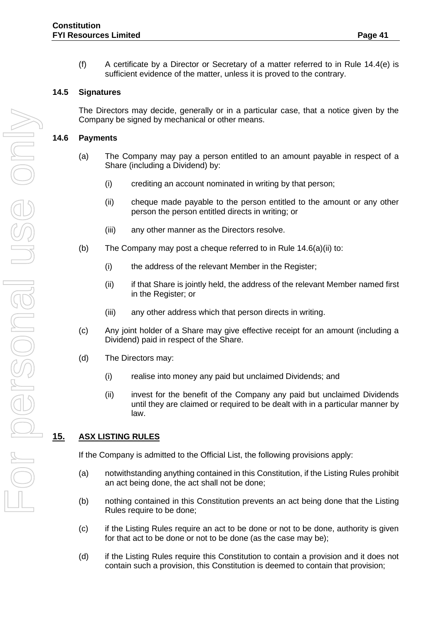(f) A certificate by a Director or Secretary of a matter referred to in Rule  $14.4(e)$  is sufficient evidence of the matter, unless it is proved to the contrary.

#### <span id="page-44-0"></span>**14.5 Signatures**

The Directors may decide, generally or in a particular case, that a notice given by the Company be signed by mechanical or other means.

#### <span id="page-44-1"></span>**14.6 Payments**

- (a) The Company may pay a person entitled to an amount payable in respect of a Share (including a Dividend) by:
	- (i) crediting an account nominated in writing by that person;
	- (ii) cheque made payable to the person entitled to the amount or any other person the person entitled directs in writing; or
	- (iii) any other manner as the Directors resolve.
- (b) The Company may post a cheque referred to in Rule  $14.6(a)(ii)$  to:
	- (i) the address of the relevant Member in the Register;
	- (ii) if that Share is jointly held, the address of the relevant Member named first in the Register; or
	- (iii) any other address which that person directs in writing.
- (c) Any joint holder of a Share may give effective receipt for an amount (including a Dividend) paid in respect of the Share.
- (d) The Directors may:
	- (i) realise into money any paid but unclaimed Dividends; and
	- (ii) invest for the benefit of the Company any paid but unclaimed Dividends until they are claimed or required to be dealt with in a particular manner by law.

# <span id="page-44-2"></span>**15. ASX LISTING RULES**

If the Company is admitted to the Official List, the following provisions apply:

- (a) notwithstanding anything contained in this Constitution, if the Listing Rules prohibit an act being done, the act shall not be done;
- (b) nothing contained in this Constitution prevents an act being done that the Listing Rules require to be done;
- (c) if the Listing Rules require an act to be done or not to be done, authority is given for that act to be done or not to be done (as the case may be);
- (d) if the Listing Rules require this Constitution to contain a provision and it does not contain such a provision, this Constitution is deemed to contain that provision;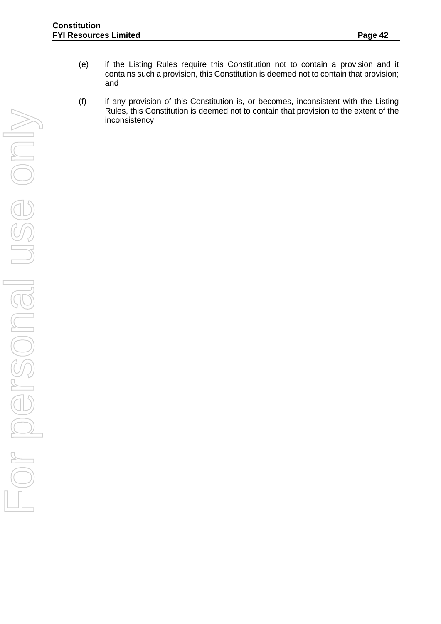- (e) if the Listing Rules require this Constitution not to contain a provision and it contains such a provision, this Constitution is deemed not to contain that provision; and
- (f) if any provision of this Constitution is, or becomes, inconsistent with the Listing Rules, this Constitution is deemed not to contain that provision to the extent of the inconsistency.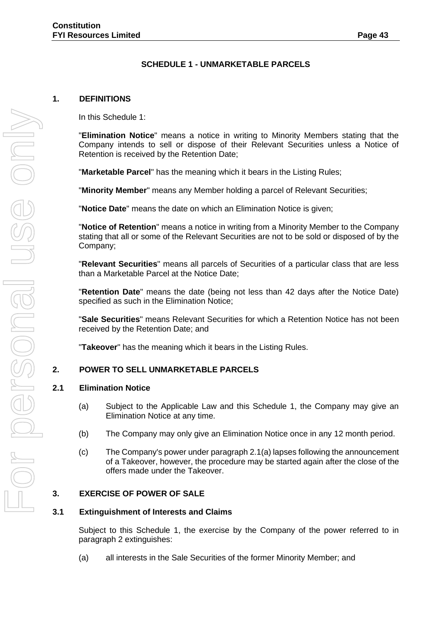## **SCHEDULE 1 - UNMARKETABLE PARCELS**

#### <span id="page-46-0"></span>**1. DEFINITIONS**

In this Schedule 1:

"**Elimination Notice**" means a notice in writing to Minority Members stating that the Company intends to sell or dispose of their Relevant Securities unless a Notice of Retention is received by the Retention Date;

"**Marketable Parcel**" has the meaning which it bears in the Listing Rules;

"**Minority Member**" means any Member holding a parcel of Relevant Securities;

"**Notice Date**" means the date on which an Elimination Notice is given;

"**Notice of Retention**" means a notice in writing from a Minority Member to the Company stating that all or some of the Relevant Securities are not to be sold or disposed of by the Company;

"**Relevant Securities**" means all parcels of Securities of a particular class that are less than a Marketable Parcel at the Notice Date;

"**Retention Date**" means the date (being not less than 42 days after the Notice Date) specified as such in the Elimination Notice;

"**Sale Securities**" means Relevant Securities for which a Retention Notice has not been received by the Retention Date; and

"**Takeover**" has the meaning which it bears in the Listing Rules.

#### **2. POWER TO SELL UNMARKETABLE PARCELS**

#### **2.1 Elimination Notice**

- (a) Subject to the Applicable Law and this Schedule 1, the Company may give an Elimination Notice at any time.
- (b) The Company may only give an Elimination Notice once in any 12 month period.
- (c) The Company's power under paragraph 2.1(a) lapses following the announcement of a Takeover, however, the procedure may be started again after the close of the offers made under the Takeover.

#### **3. EXERCISE OF POWER OF SALE**

#### **3.1 Extinguishment of Interests and Claims**

Subject to this Schedule 1, the exercise by the Company of the power referred to in paragraph 2 extinguishes:

(a) all interests in the Sale Securities of the former Minority Member; and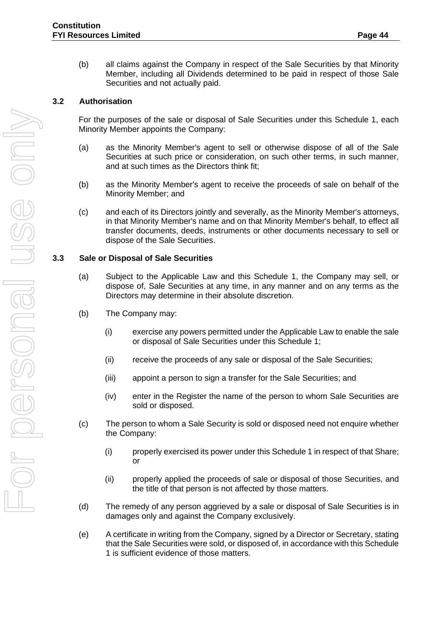(b) all claims against the Company in respect of the Sale Securities by that Minority Member, including all Dividends determined to be paid in respect of those Sale Securities and not actually paid.

## **3.2 Authorisation**

For the purposes of the sale or disposal of Sale Securities under this Schedule 1, each Minority Member appoints the Company:

- (a) as the Minority Member's agent to sell or otherwise dispose of all of the Sale Securities at such price or consideration, on such other terms, in such manner, and at such times as the Directors think fit;
- (b) as the Minority Member's agent to receive the proceeds of sale on behalf of the Minority Member; and
- (c) and each of its Directors jointly and severally, as the Minority Member's attorneys, in that Minority Member's name and on that Minority Member's behalf, to effect all transfer documents, deeds, instruments or other documents necessary to sell or dispose of the Sale Securities.

#### **3.3 Sale or Disposal of Sale Securities**

- (a) Subject to the Applicable Law and this Schedule 1, the Company may sell, or dispose of, Sale Securities at any time, in any manner and on any terms as the Directors may determine in their absolute discretion.
- (b) The Company may:
	- (i) exercise any powers permitted under the Applicable Law to enable the sale or disposal of Sale Securities under this Schedule 1;
	- (ii) receive the proceeds of any sale or disposal of the Sale Securities;
	- (iii) appoint a person to sign a transfer for the Sale Securities; and
	- (iv) enter in the Register the name of the person to whom Sale Securities are sold or disposed.
- (c) The person to whom a Sale Security is sold or disposed need not enquire whether the Company:
	- (i) properly exercised its power under this Schedule 1 in respect of that Share; or
	- (ii) properly applied the proceeds of sale or disposal of those Securities, and the title of that person is not affected by those matters.
- (d) The remedy of any person aggrieved by a sale or disposal of Sale Securities is in damages only and against the Company exclusively.
- (e) A certificate in writing from the Company, signed by a Director or Secretary, stating that the Sale Securities were sold, or disposed of, in accordance with this Schedule 1 is sufficient evidence of those matters.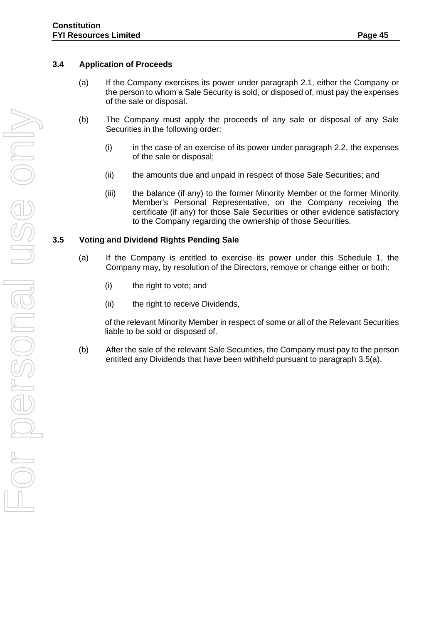- (a) If the Company exercises its power under paragraph 2.1, either the Company or the person to whom a Sale Security is sold, or disposed of, must pay the expenses of the sale or disposal.
- (b) The Company must apply the proceeds of any sale or disposal of any Sale Securities in the following order:
	- (i) in the case of an exercise of its power under paragraph 2.2, the expenses of the sale or disposal;
	- (ii) the amounts due and unpaid in respect of those Sale Securities; and
	- (iii) the balance (if any) to the former Minority Member or the former Minority Member's Personal Representative, on the Company receiving the certificate (if any) for those Sale Securities or other evidence satisfactory to the Company regarding the ownership of those Securities.

## **3.5 Voting and Dividend Rights Pending Sale**

- (a) If the Company is entitled to exercise its power under this Schedule 1, the Company may, by resolution of the Directors, remove or change either or both:
	- (i) the right to vote; and
	- (ii) the right to receive Dividends,

of the relevant Minority Member in respect of some or all of the Relevant Securities liable to be sold or disposed of.

(b) After the sale of the relevant Sale Securities, the Company must pay to the person entitled any Dividends that have been withheld pursuant to paragraph 3.5(a).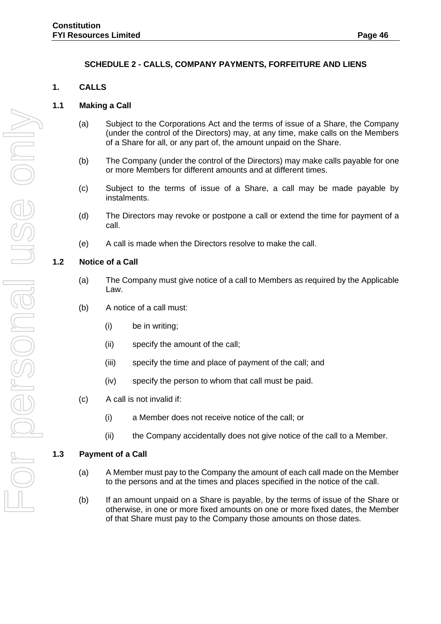## **SCHEDULE 2 - CALLS, COMPANY PAYMENTS, FORFEITURE AND LIENS**

#### <span id="page-49-0"></span>**1. CALLS**

#### **1.1 Making a Call**

- (a) Subject to the Corporations Act and the terms of issue of a Share, the Company (under the control of the Directors) may, at any time, make calls on the Members of a Share for all, or any part of, the amount unpaid on the Share.
- (b) The Company (under the control of the Directors) may make calls payable for one or more Members for different amounts and at different times.
- (c) Subject to the terms of issue of a Share, a call may be made payable by instalments.
- (d) The Directors may revoke or postpone a call or extend the time for payment of a call.
- (e) A call is made when the Directors resolve to make the call.

#### **1.2 Notice of a Call**

- (a) The Company must give notice of a call to Members as required by the Applicable Law.
- (b) A notice of a call must:
	- (i) be in writing;
	- (ii) specify the amount of the call;
	- (iii) specify the time and place of payment of the call; and
	- (iv) specify the person to whom that call must be paid.
- (c) A call is not invalid if:
	- (i) a Member does not receive notice of the call; or
	- (ii) the Company accidentally does not give notice of the call to a Member.

#### **1.3 Payment of a Call**

- (a) A Member must pay to the Company the amount of each call made on the Member to the persons and at the times and places specified in the notice of the call.
- (b) If an amount unpaid on a Share is payable, by the terms of issue of the Share or otherwise, in one or more fixed amounts on one or more fixed dates, the Member of that Share must pay to the Company those amounts on those dates.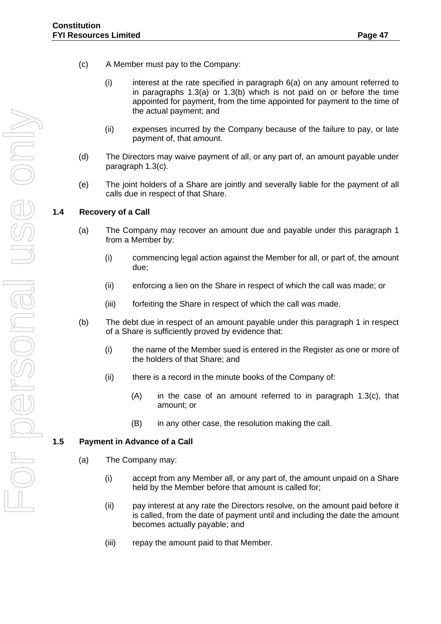- (c) A Member must pay to the Company:
	- (i) interest at the rate specified in paragraph 6(a) on any amount referred to in paragraphs 1.3(a) or 1.3(b) which is not paid on or before the time appointed for payment, from the time appointed for payment to the time of the actual payment; and
	- (ii) expenses incurred by the Company because of the failure to pay, or late payment of, that amount.
- (d) The Directors may waive payment of all, or any part of, an amount payable under paragraph 1.3(c).
- (e) The joint holders of a Share are jointly and severally liable for the payment of all calls due in respect of that Share.

## **1.4 Recovery of a Call**

- (a) The Company may recover an amount due and payable under this paragraph 1 from a Member by:
	- (i) commencing legal action against the Member for all, or part of, the amount due;
	- (ii) enforcing a lien on the Share in respect of which the call was made; or
	- (iii) forfeiting the Share in respect of which the call was made.
- (b) The debt due in respect of an amount payable under this paragraph 1 in respect of a Share is sufficiently proved by evidence that:
	- (i) the name of the Member sued is entered in the Register as one or more of the holders of that Share; and
	- (ii) there is a record in the minute books of the Company of:
		- (A) in the case of an amount referred to in paragraph 1.3(c), that amount; or
		- (B) in any other case, the resolution making the call.

#### **1.5 Payment in Advance of a Call**

- (a) The Company may:
	- (i) accept from any Member all, or any part of, the amount unpaid on a Share held by the Member before that amount is called for;
	- (ii) pay interest at any rate the Directors resolve, on the amount paid before it is called, from the date of payment until and including the date the amount becomes actually payable; and
	- (iii) repay the amount paid to that Member.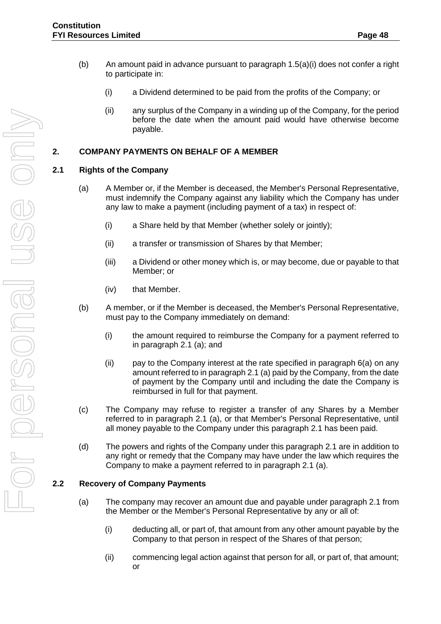- (b) An amount paid in advance pursuant to paragraph  $1.5(a)(i)$  does not confer a right to participate in:
	- (i) a Dividend determined to be paid from the profits of the Company; or
	- (ii) any surplus of the Company in a winding up of the Company, for the period before the date when the amount paid would have otherwise become payable.

## **2. COMPANY PAYMENTS ON BEHALF OF A MEMBER**

#### **2.1 Rights of the Company**

- (a) A Member or, if the Member is deceased, the Member's Personal Representative, must indemnify the Company against any liability which the Company has under any law to make a payment (including payment of a tax) in respect of:
	- (i) a Share held by that Member (whether solely or jointly);
	- (ii) a transfer or transmission of Shares by that Member;
	- (iii) a Dividend or other money which is, or may become, due or payable to that Member; or
	- (iv) that Member.
- (b) A member, or if the Member is deceased, the Member's Personal Representative, must pay to the Company immediately on demand:
	- (i) the amount required to reimburse the Company for a payment referred to in paragraph 2.1 (a); and
	- (ii) pay to the Company interest at the rate specified in paragraph 6(a) on any amount referred to in paragraph 2.1 (a) paid by the Company, from the date of payment by the Company until and including the date the Company is reimbursed in full for that payment.
- (c) The Company may refuse to register a transfer of any Shares by a Member referred to in paragraph 2.1 (a), or that Member's Personal Representative, until all money payable to the Company under this paragraph 2.1 has been paid.
- (d) The powers and rights of the Company under this paragraph 2.1 are in addition to any right or remedy that the Company may have under the law which requires the Company to make a payment referred to in paragraph 2.1 (a).

## **2.2 Recovery of Company Payments**

- (a) The company may recover an amount due and payable under paragraph 2.1 from the Member or the Member's Personal Representative by any or all of:
	- (i) deducting all, or part of, that amount from any other amount payable by the Company to that person in respect of the Shares of that person;
	- (ii) commencing legal action against that person for all, or part of, that amount; or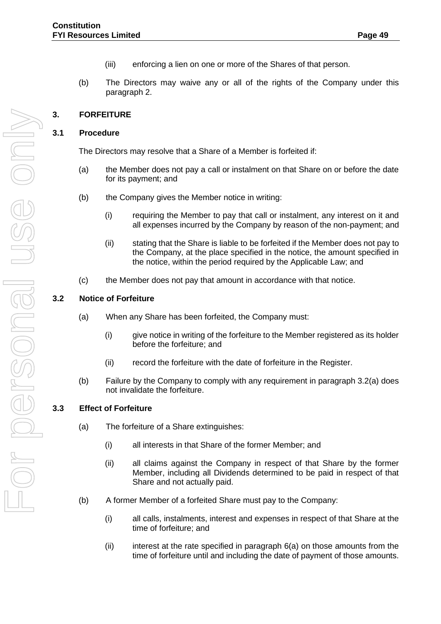- (iii) enforcing a lien on one or more of the Shares of that person.
- (b) The Directors may waive any or all of the rights of the Company under this paragraph 2.

# **3. FORFEITURE**

## **3.1 Procedure**

The Directors may resolve that a Share of a Member is forfeited if:

- (a) the Member does not pay a call or instalment on that Share on or before the date for its payment; and
- (b) the Company gives the Member notice in writing:
	- (i) requiring the Member to pay that call or instalment, any interest on it and all expenses incurred by the Company by reason of the non-payment; and
	- (ii) stating that the Share is liable to be forfeited if the Member does not pay to the Company, at the place specified in the notice, the amount specified in the notice, within the period required by the Applicable Law; and
- (c) the Member does not pay that amount in accordance with that notice.

## **3.2 Notice of Forfeiture**

- (a) When any Share has been forfeited, the Company must:
	- (i) give notice in writing of the forfeiture to the Member registered as its holder before the forfeiture; and
	- (ii) record the forfeiture with the date of forfeiture in the Register.
- (b) Failure by the Company to comply with any requirement in paragraph 3.2(a) does not invalidate the forfeiture.

#### **3.3 Effect of Forfeiture**

- (a) The forfeiture of a Share extinguishes:
	- (i) all interests in that Share of the former Member; and
	- (ii) all claims against the Company in respect of that Share by the former Member, including all Dividends determined to be paid in respect of that Share and not actually paid.
- (b) A former Member of a forfeited Share must pay to the Company:
	- (i) all calls, instalments, interest and expenses in respect of that Share at the time of forfeiture; and
	- $(ii)$  interest at the rate specified in paragraph  $6(a)$  on those amounts from the time of forfeiture until and including the date of payment of those amounts.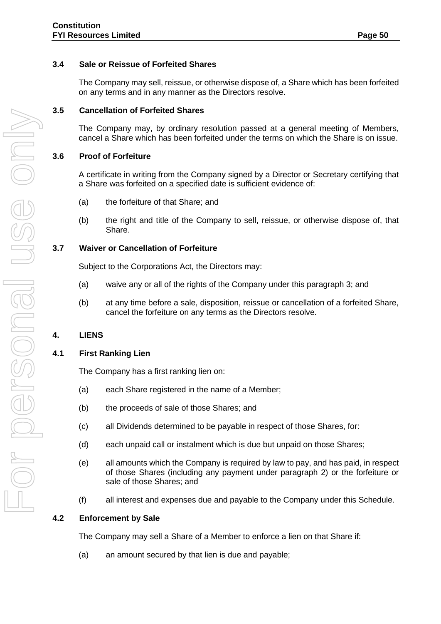## **3.4 Sale or Reissue of Forfeited Shares**

The Company may sell, reissue, or otherwise dispose of, a Share which has been forfeited on any terms and in any manner as the Directors resolve.

#### **3.5 Cancellation of Forfeited Shares**

The Company may, by ordinary resolution passed at a general meeting of Members, cancel a Share which has been forfeited under the terms on which the Share is on issue.

#### **3.6 Proof of Forfeiture**

A certificate in writing from the Company signed by a Director or Secretary certifying that a Share was forfeited on a specified date is sufficient evidence of:

- (a) the forfeiture of that Share; and
- (b) the right and title of the Company to sell, reissue, or otherwise dispose of, that Share.

#### **3.7 Waiver or Cancellation of Forfeiture**

Subject to the Corporations Act, the Directors may:

- (a) waive any or all of the rights of the Company under this paragraph 3; and
- (b) at any time before a sale, disposition, reissue or cancellation of a forfeited Share, cancel the forfeiture on any terms as the Directors resolve.

# **4. LIENS**

#### **4.1 First Ranking Lien**

The Company has a first ranking lien on:

- (a) each Share registered in the name of a Member;
- (b) the proceeds of sale of those Shares; and
- (c) all Dividends determined to be payable in respect of those Shares, for:
- (d) each unpaid call or instalment which is due but unpaid on those Shares;
- (e) all amounts which the Company is required by law to pay, and has paid, in respect of those Shares (including any payment under paragraph 2) or the forfeiture or sale of those Shares; and
- (f) all interest and expenses due and payable to the Company under this Schedule.

#### **4.2 Enforcement by Sale**

The Company may sell a Share of a Member to enforce a lien on that Share if:

(a) an amount secured by that lien is due and payable;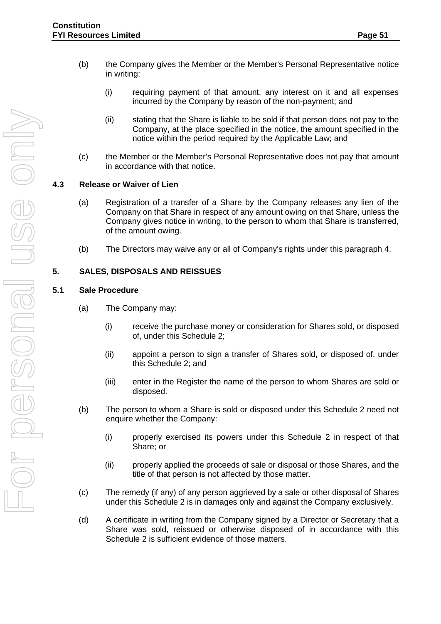- (b) the Company gives the Member or the Member's Personal Representative notice in writing:
	- (i) requiring payment of that amount, any interest on it and all expenses incurred by the Company by reason of the non-payment; and
	- (ii) stating that the Share is liable to be sold if that person does not pay to the Company, at the place specified in the notice, the amount specified in the notice within the period required by the Applicable Law; and
- (c) the Member or the Member's Personal Representative does not pay that amount in accordance with that notice.

## **4.3 Release or Waiver of Lien**

- (a) Registration of a transfer of a Share by the Company releases any lien of the Company on that Share in respect of any amount owing on that Share, unless the Company gives notice in writing, to the person to whom that Share is transferred, of the amount owing.
- (b) The Directors may waive any or all of Company's rights under this paragraph 4.

## **5. SALES, DISPOSALS AND REISSUES**

#### **5.1 Sale Procedure**

- (a) The Company may:
	- (i) receive the purchase money or consideration for Shares sold, or disposed of, under this Schedule 2;
	- (ii) appoint a person to sign a transfer of Shares sold, or disposed of, under this Schedule 2; and
	- (iii) enter in the Register the name of the person to whom Shares are sold or disposed.
- (b) The person to whom a Share is sold or disposed under this Schedule 2 need not enquire whether the Company:
	- (i) properly exercised its powers under this Schedule 2 in respect of that Share; or
	- (ii) properly applied the proceeds of sale or disposal or those Shares, and the title of that person is not affected by those matter.
- (c) The remedy (if any) of any person aggrieved by a sale or other disposal of Shares under this Schedule 2 is in damages only and against the Company exclusively.
- (d) A certificate in writing from the Company signed by a Director or Secretary that a Share was sold, reissued or otherwise disposed of in accordance with this Schedule 2 is sufficient evidence of those matters.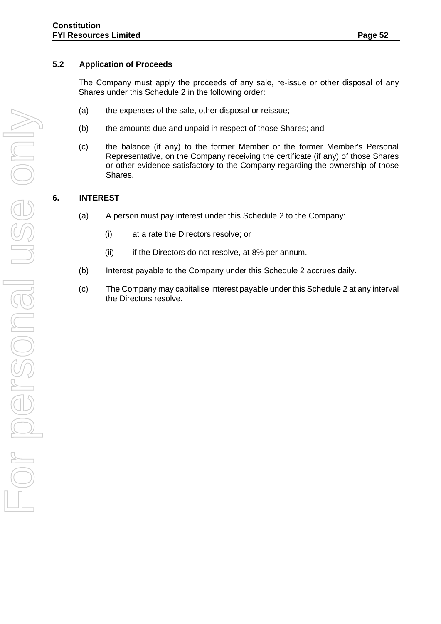## **5.2 Application of Proceeds**

The Company must apply the proceeds of any sale, re-issue or other disposal of any Shares under this Schedule 2 in the following order:

- (a) the expenses of the sale, other disposal or reissue;
- (b) the amounts due and unpaid in respect of those Shares; and
- (c) the balance (if any) to the former Member or the former Member's Personal Representative, on the Company receiving the certificate (if any) of those Shares or other evidence satisfactory to the Company regarding the ownership of those Shares.

# **6. INTEREST**

- (a) A person must pay interest under this Schedule 2 to the Company:
	- (i) at a rate the Directors resolve; or
	- (ii) if the Directors do not resolve, at 8% per annum.
- (b) Interest payable to the Company under this Schedule 2 accrues daily.
- (c) The Company may capitalise interest payable under this Schedule 2 at any interval the Directors resolve.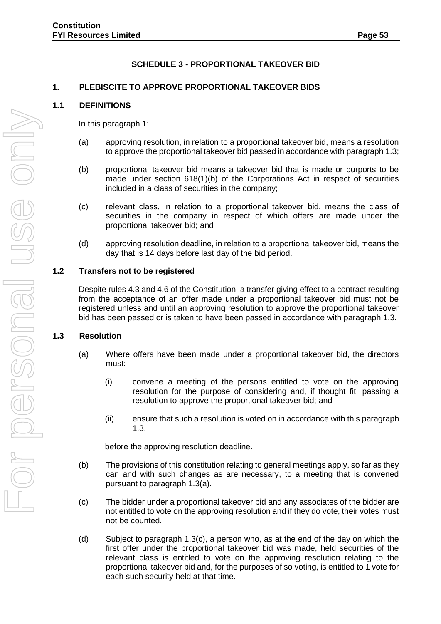# **SCHEDULE 3 - PROPORTIONAL TAKEOVER BID**

## <span id="page-56-0"></span>**1. PLEBISCITE TO APPROVE PROPORTIONAL TAKEOVER BIDS**

#### **1.1 DEFINITIONS**

In this paragraph 1:

- (a) approving resolution, in relation to a proportional takeover bid, means a resolution to approve the proportional takeover bid passed in accordance with paragraph 1.3;
- (b) proportional takeover bid means a takeover bid that is made or purports to be made under section 618(1)(b) of the Corporations Act in respect of securities included in a class of securities in the company;
- (c) relevant class, in relation to a proportional takeover bid, means the class of securities in the company in respect of which offers are made under the proportional takeover bid; and
- (d) approving resolution deadline, in relation to a proportional takeover bid, means the day that is 14 days before last day of the bid period.

#### **1.2 Transfers not to be registered**

Despite rules 4.3 and 4.6 of the Constitution, a transfer giving effect to a contract resulting from the acceptance of an offer made under a proportional takeover bid must not be registered unless and until an approving resolution to approve the proportional takeover bid has been passed or is taken to have been passed in accordance with paragraph 1.3.

#### **1.3 Resolution**

- (a) Where offers have been made under a proportional takeover bid, the directors must:
	- (i) convene a meeting of the persons entitled to vote on the approving resolution for the purpose of considering and, if thought fit, passing a resolution to approve the proportional takeover bid; and
	- (ii) ensure that such a resolution is voted on in accordance with this paragraph 1.3,

before the approving resolution deadline.

- (b) The provisions of this constitution relating to general meetings apply, so far as they can and with such changes as are necessary, to a meeting that is convened pursuant to paragraph 1.3(a).
- (c) The bidder under a proportional takeover bid and any associates of the bidder are not entitled to vote on the approving resolution and if they do vote, their votes must not be counted.
- (d) Subject to paragraph 1.3(c), a person who, as at the end of the day on which the first offer under the proportional takeover bid was made, held securities of the relevant class is entitled to vote on the approving resolution relating to the proportional takeover bid and, for the purposes of so voting, is entitled to 1 vote for each such security held at that time.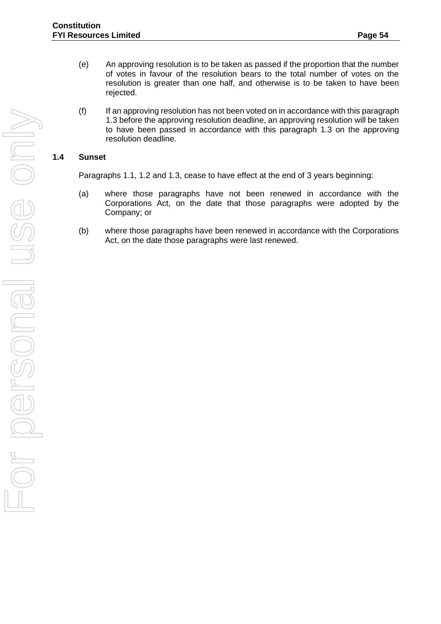- (e) An approving resolution is to be taken as passed if the proportion that the number of votes in favour of the resolution bears to the total number of votes on the resolution is greater than one half, and otherwise is to be taken to have been rejected.
- (f) If an approving resolution has not been voted on in accordance with this paragraph 1.3 before the approving resolution deadline, an approving resolution will be taken to have been passed in accordance with this paragraph 1.3 on the approving resolution deadline.

## **1.4 Sunset**

Paragraphs 1.1, 1.2 and 1.3, cease to have effect at the end of 3 years beginning:

- (a) where those paragraphs have not been renewed in accordance with the Corporations Act, on the date that those paragraphs were adopted by the Company; or
- (b) where those paragraphs have been renewed in accordance with the Corporations Act, on the date those paragraphs were last renewed.